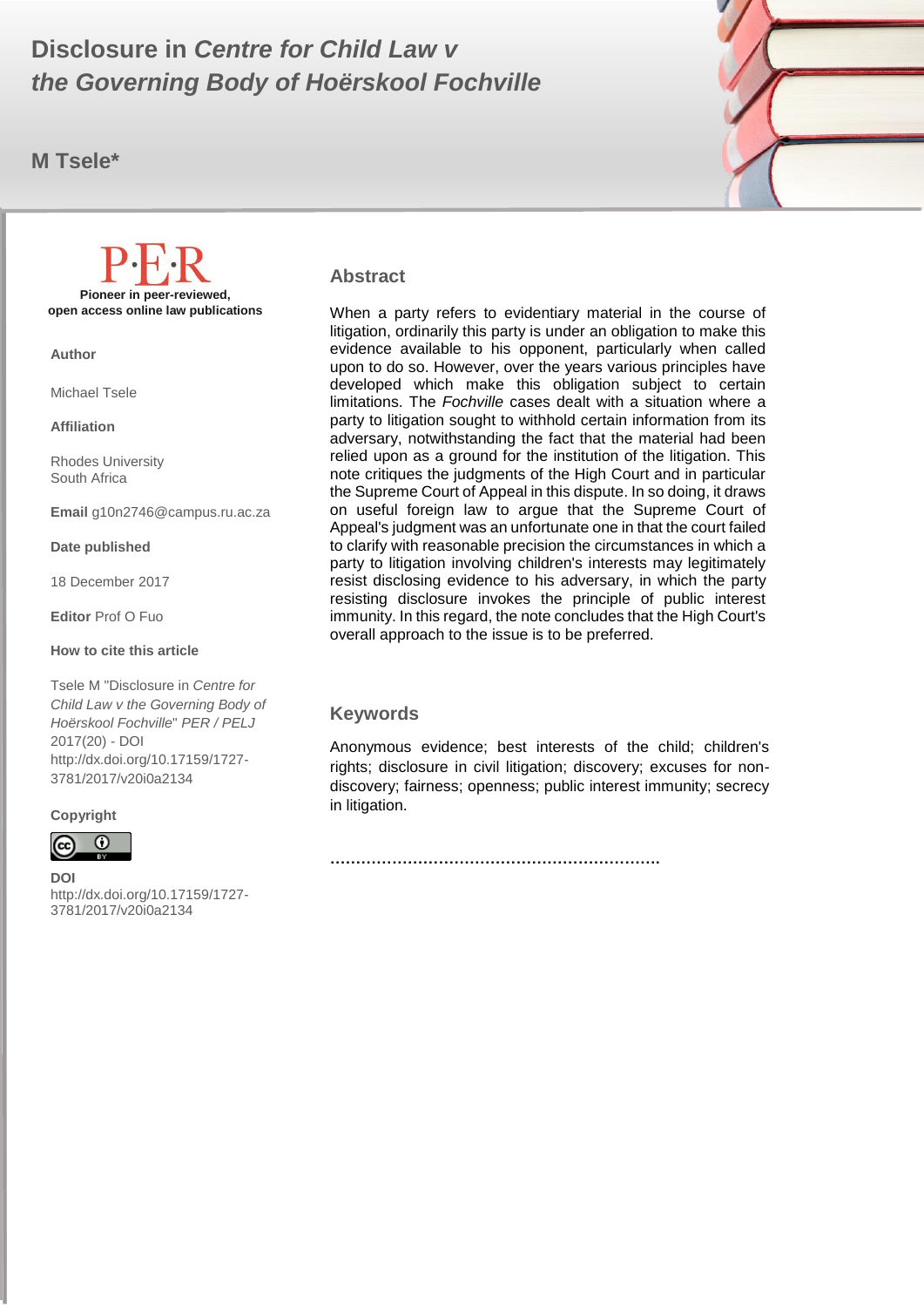#### $\mathbb{R}$  m to the second second second second second second second second second second second second second second second second second second second second second second second second second second second second second **Disclosure in** *Centre for Child Law v the Governing Body of Hoërskool Fochville*

**M Tsele\***



#### **Abstract**

When a party refers to evidentiary material in the course of litigation, ordinarily this party is under an obligation to make this evidence available to his opponent, particularly when called upon to do so. However, over the years various principles have developed which make this obligation subject to certain limitations. The *Fochville* cases dealt with a situation where a party to litigation sought to withhold certain information from its adversary, notwithstanding the fact that the material had been relied upon as a ground for the institution of the litigation. This note critiques the judgments of the High Court and in particular the Supreme Court of Appeal in this dispute. In so doing, it draws on useful foreign law to argue that the Supreme Court of Appeal's judgment was an unfortunate one in that the court failed to clarify with reasonable precision the circumstances in which a party to litigation involving children's interests may legitimately resist disclosing evidence to his adversary, in which the party resisting disclosure invokes the principle of public interest immunity. In this regard, the note concludes that the High Court's overall approach to the issue is to be preferred.

#### **Keywords**

Anonymous evidence; best interests of the child; children's rights; disclosure in civil litigation; discovery; excuses for nondiscovery; fairness; openness; public interest immunity; secrecy in litigation.

**……………………………………………………….**

**Copyright**

∩

http://dx.doi.org/10.17159/1727-

**DOI**  3781/2017/v20i0a2134

**Pioneer in peer-reviewed, open access online law publications**

**Author**

Michael Tsele

**Affiliation**

Rhodes University South Africa

**Email** g10n2746@campus.ru.ac.za

#### **Date published**

18 December 2017

**Editor** Prof O Fuo

#### **How to cite this article**

Tsele M "Disclosure in *Centre for Child Law v the Governing Body of Hoërskool Fochville*" *PER / PELJ* 2017(20) - DOI http://dx.doi.org/10.17159/1727- 3781/2017/v20i0a2134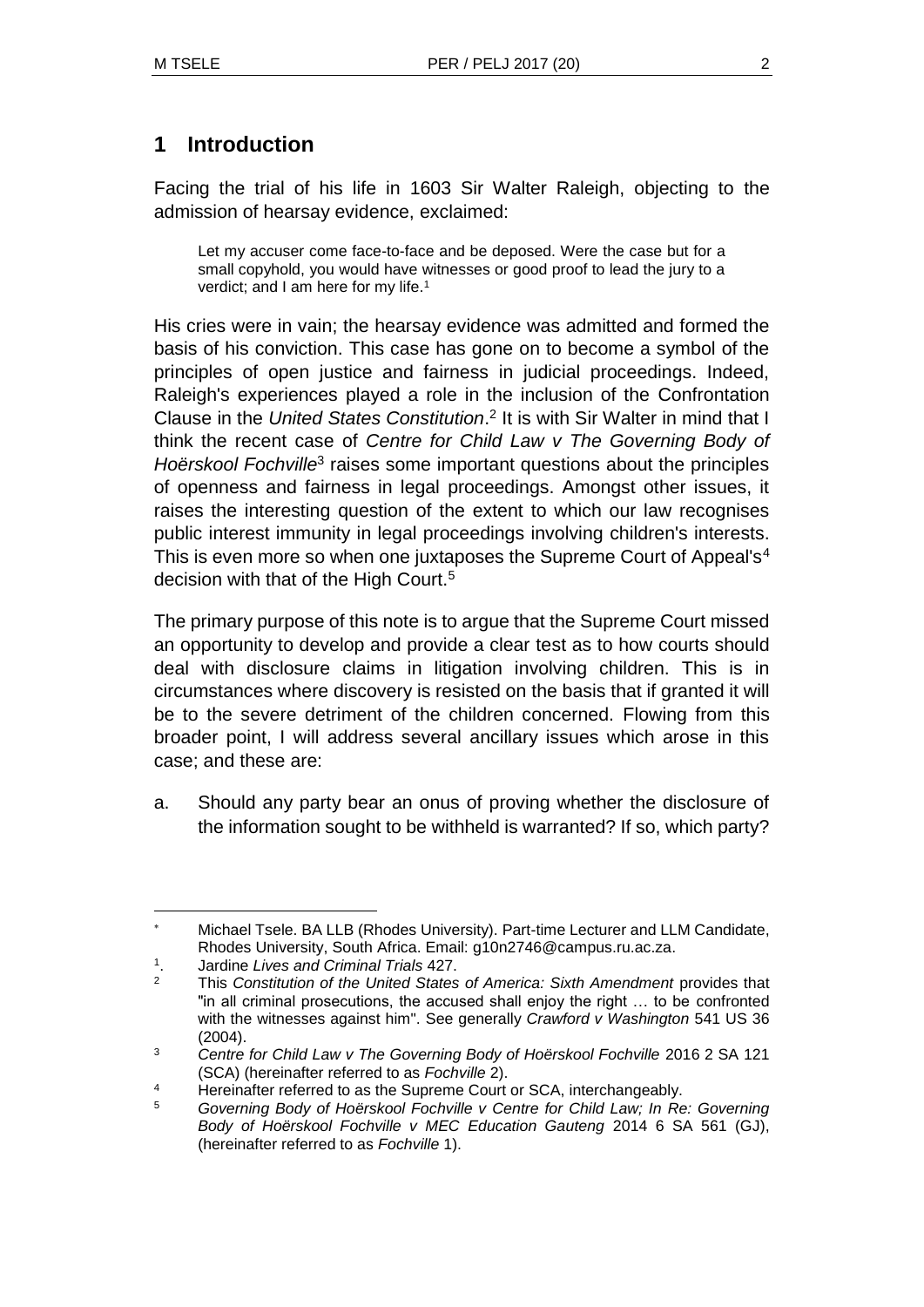## **1 Introduction**

Facing the trial of his life in 1603 Sir Walter Raleigh, objecting to the admission of hearsay evidence, exclaimed:

Let my accuser come face-to-face and be deposed. Were the case but for a small copyhold, you would have witnesses or good proof to lead the jury to a verdict; and I am here for my life.<sup>1</sup>

His cries were in vain; the hearsay evidence was admitted and formed the basis of his conviction. This case has gone on to become a symbol of the principles of open justice and fairness in judicial proceedings. Indeed, Raleigh's experiences played a role in the inclusion of the Confrontation Clause in the *United States Constitution*. 2 It is with Sir Walter in mind that I think the recent case of *Centre for Child Law v The Governing Body of*  Hoërskool Fochville<sup>3</sup> raises some important questions about the principles of openness and fairness in legal proceedings. Amongst other issues, it raises the interesting question of the extent to which our law recognises public interest immunity in legal proceedings involving children's interests. This is even more so when one juxtaposes the Supreme Court of Appeal's<sup>4</sup> decision with that of the High Court.<sup>5</sup>

The primary purpose of this note is to argue that the Supreme Court missed an opportunity to develop and provide a clear test as to how courts should deal with disclosure claims in litigation involving children. This is in circumstances where discovery is resisted on the basis that if granted it will be to the severe detriment of the children concerned. Flowing from this broader point, I will address several ancillary issues which arose in this case; and these are:

a. Should any party bear an onus of proving whether the disclosure of the information sought to be withheld is warranted? If so, which party?

Michael Tsele. BA LLB (Rhodes University). Part-time Lecturer and LLM Candidate, Rhodes University, South Africa. Email: g10n2746@campus.ru.ac.za.

<sup>1</sup> . Jardine *Lives and Criminal Trials* 427.

<sup>2</sup> This *Constitution of the United States of America: Sixth Amendment* provides that "in all criminal prosecutions, the accused shall enjoy the right … to be confronted with the witnesses against him". See generally *Crawford v Washington* 541 US 36 (2004).

<sup>&</sup>lt;sup>3</sup> Centre for Child Law v The Governing Body of Hoërskool Fochville 2016 2 SA 121 (SCA) (hereinafter referred to as *Fochville* 2).

<sup>&</sup>lt;sup>4</sup> Hereinafter referred to as the Supreme Court or SCA, interchangeably.

<sup>5</sup> *Governing Body of Hoërskool Fochville v Centre for Child Law; In Re: Governing Body of Hoërskool Fochville v MEC Education Gauteng* 2014 6 SA 561 (GJ), (hereinafter referred to as *Fochville* 1).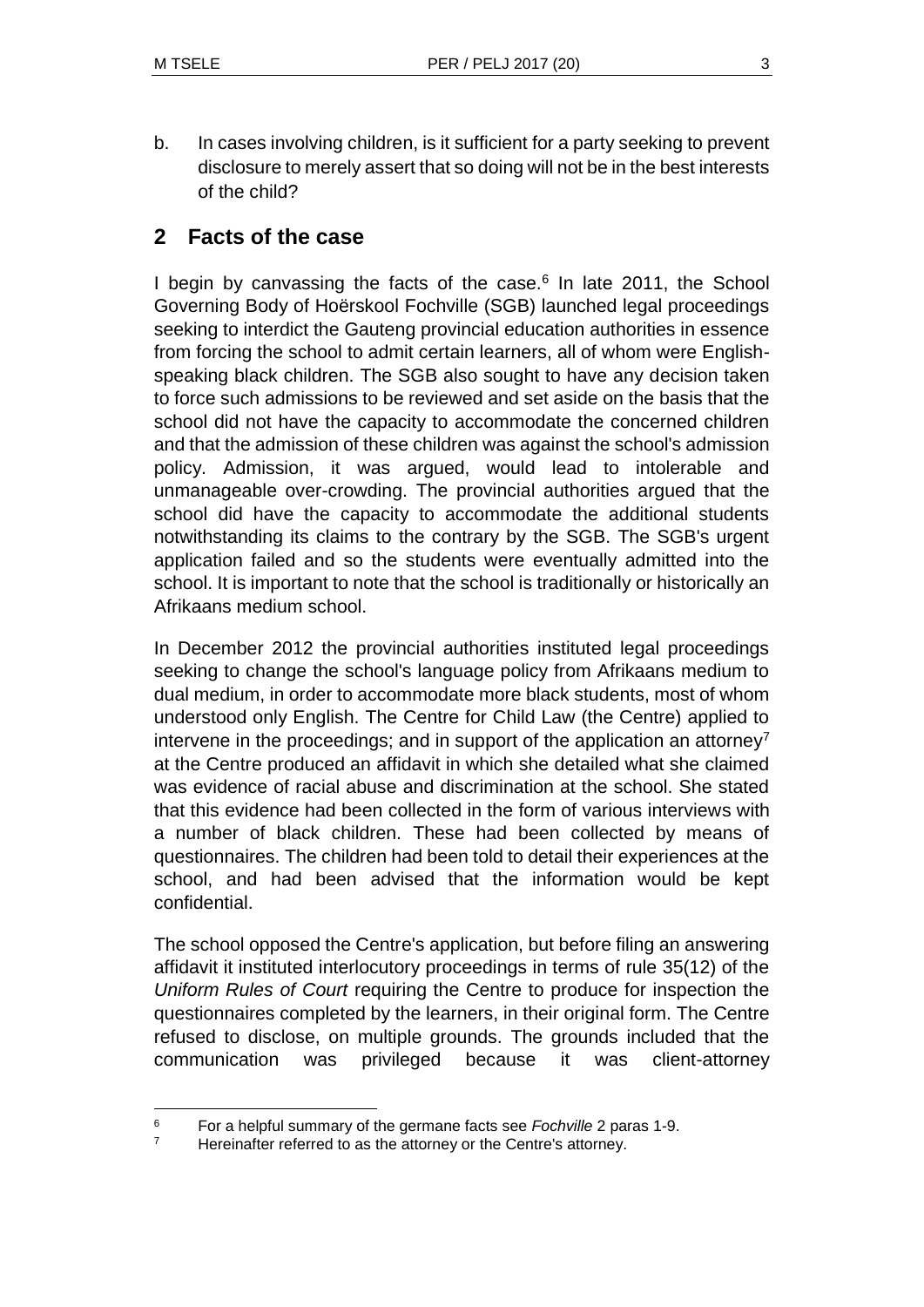l

b. In cases involving children, is it sufficient for a party seeking to prevent disclosure to merely assert that so doing will not be in the best interests of the child?

## **2 Facts of the case**

I begin by canvassing the facts of the case.<sup>6</sup> In late 2011, the School Governing Body of Hoërskool Fochville (SGB) launched legal proceedings seeking to interdict the Gauteng provincial education authorities in essence from forcing the school to admit certain learners, all of whom were Englishspeaking black children. The SGB also sought to have any decision taken to force such admissions to be reviewed and set aside on the basis that the school did not have the capacity to accommodate the concerned children and that the admission of these children was against the school's admission policy. Admission, it was argued, would lead to intolerable and unmanageable over-crowding. The provincial authorities argued that the school did have the capacity to accommodate the additional students notwithstanding its claims to the contrary by the SGB. The SGB's urgent application failed and so the students were eventually admitted into the school. It is important to note that the school is traditionally or historically an Afrikaans medium school.

In December 2012 the provincial authorities instituted legal proceedings seeking to change the school's language policy from Afrikaans medium to dual medium, in order to accommodate more black students, most of whom understood only English. The Centre for Child Law (the Centre) applied to intervene in the proceedings; and in support of the application an attorney<sup>7</sup> at the Centre produced an affidavit in which she detailed what she claimed was evidence of racial abuse and discrimination at the school. She stated that this evidence had been collected in the form of various interviews with a number of black children. These had been collected by means of questionnaires. The children had been told to detail their experiences at the school, and had been advised that the information would be kept confidential.

The school opposed the Centre's application, but before filing an answering affidavit it instituted interlocutory proceedings in terms of rule 35(12) of the *Uniform Rules of Court* requiring the Centre to produce for inspection the questionnaires completed by the learners, in their original form. The Centre refused to disclose, on multiple grounds. The grounds included that the communication was privileged because it was client-attorney

<sup>6</sup> For a helpful summary of the germane facts see *Fochville* 2 paras 1-9.

<sup>&</sup>lt;sup>7</sup> Hereinafter referred to as the attorney or the Centre's attorney.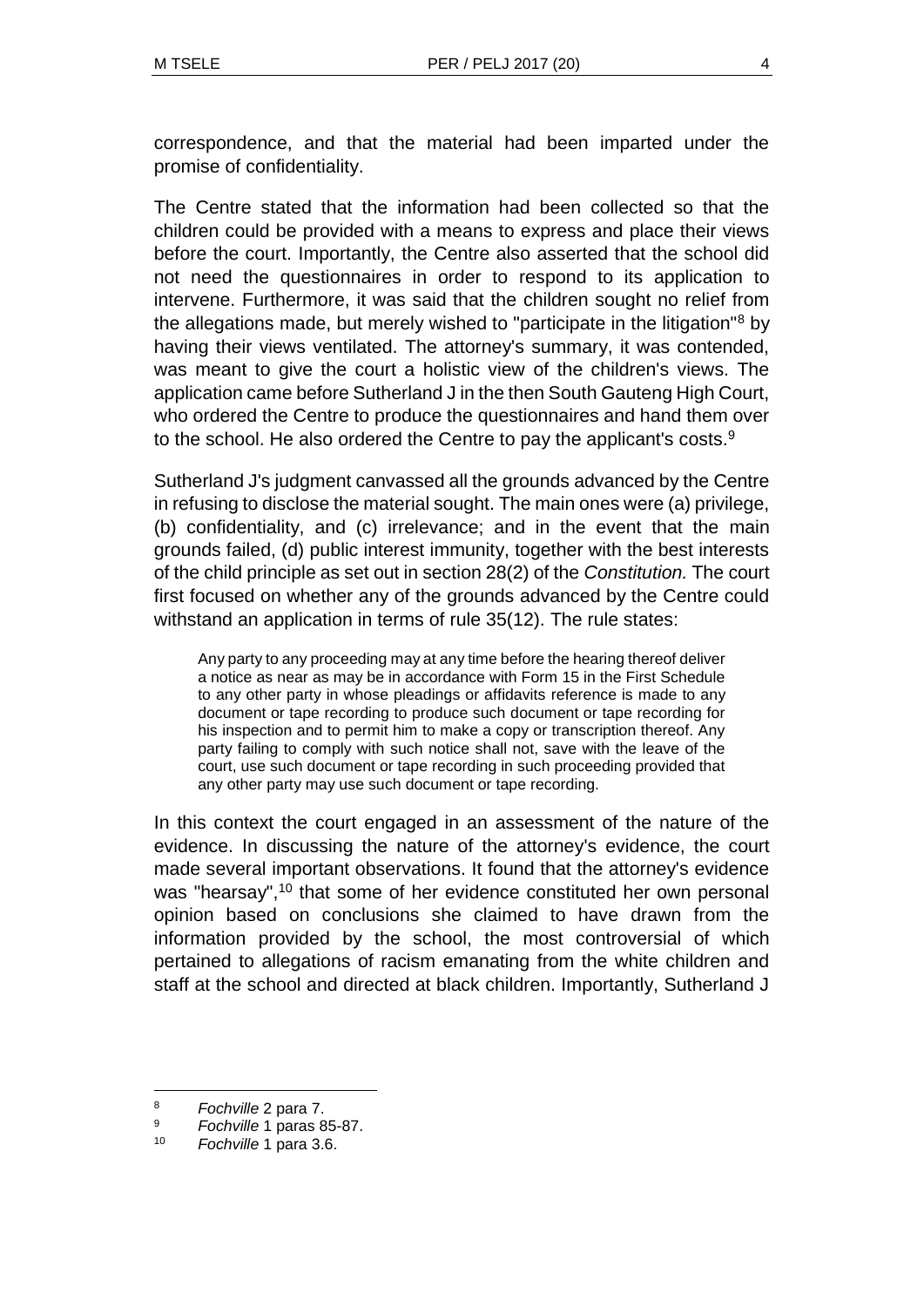correspondence, and that the material had been imparted under the promise of confidentiality.

The Centre stated that the information had been collected so that the children could be provided with a means to express and place their views before the court. Importantly, the Centre also asserted that the school did not need the questionnaires in order to respond to its application to intervene. Furthermore, it was said that the children sought no relief from the allegations made, but merely wished to "participate in the litigation"<sup>8</sup> by having their views ventilated. The attorney's summary, it was contended, was meant to give the court a holistic view of the children's views. The application came before Sutherland J in the then South Gauteng High Court, who ordered the Centre to produce the questionnaires and hand them over to the school. He also ordered the Centre to pay the applicant's costs.<sup>9</sup>

Sutherland J's judgment canvassed all the grounds advanced by the Centre in refusing to disclose the material sought. The main ones were (a) privilege, (b) confidentiality, and (c) irrelevance; and in the event that the main grounds failed, (d) public interest immunity, together with the best interests of the child principle as set out in section 28(2) of the *Constitution.* The court first focused on whether any of the grounds advanced by the Centre could withstand an application in terms of rule 35(12). The rule states:

Any party to any proceeding may at any time before the hearing thereof deliver a notice as near as may be in accordance with Form 15 in the First Schedule to any other party in whose pleadings or affidavits reference is made to any document or tape recording to produce such document or tape recording for his inspection and to permit him to make a copy or transcription thereof. Any party failing to comply with such notice shall not, save with the leave of the court, use such document or tape recording in such proceeding provided that any other party may use such document or tape recording.

In this context the court engaged in an assessment of the nature of the evidence. In discussing the nature of the attorney's evidence, the court made several important observations. It found that the attorney's evidence was "hearsay",<sup>10</sup> that some of her evidence constituted her own personal opinion based on conclusions she claimed to have drawn from the information provided by the school, the most controversial of which pertained to allegations of racism emanating from the white children and staff at the school and directed at black children. Importantly, Sutherland J

 $\overline{a}$ 

<sup>8</sup> *Fochville* 2 para 7.

<sup>9</sup> *Fochville* 1 paras 85-87.

<sup>10</sup> *Fochville* 1 para 3.6.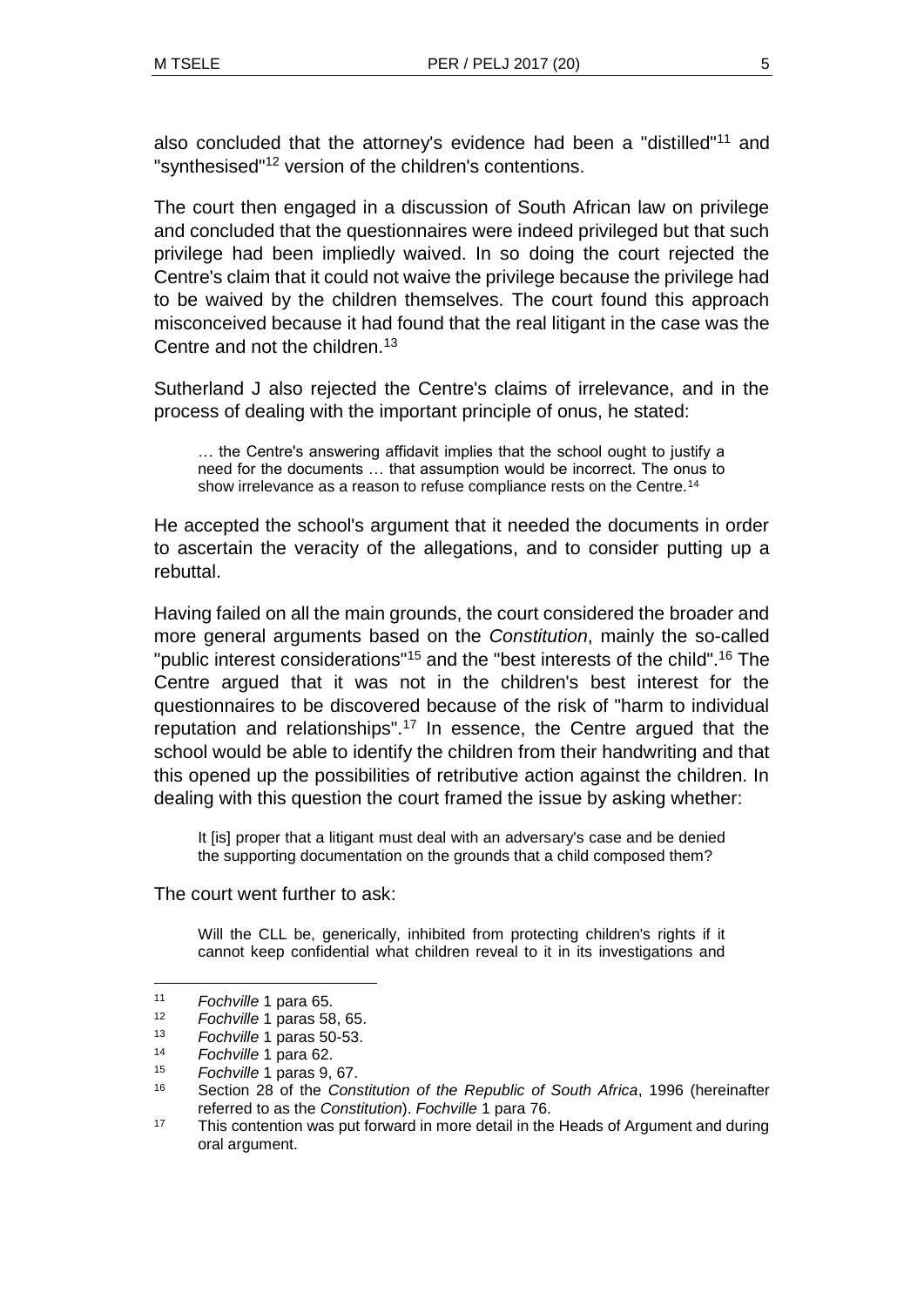also concluded that the attorney's evidence had been a "distilled"<sup>11</sup> and "synthesised"<sup>12</sup> version of the children's contentions.

The court then engaged in a discussion of South African law on privilege and concluded that the questionnaires were indeed privileged but that such privilege had been impliedly waived. In so doing the court rejected the Centre's claim that it could not waive the privilege because the privilege had to be waived by the children themselves. The court found this approach misconceived because it had found that the real litigant in the case was the Centre and not the children.<sup>13</sup>

Sutherland J also rejected the Centre's claims of irrelevance, and in the process of dealing with the important principle of onus, he stated:

… the Centre's answering affidavit implies that the school ought to justify a need for the documents … that assumption would be incorrect. The onus to show irrelevance as a reason to refuse compliance rests on the Centre.<sup>14</sup>

He accepted the school's argument that it needed the documents in order to ascertain the veracity of the allegations, and to consider putting up a rebuttal.

Having failed on all the main grounds, the court considered the broader and more general arguments based on the *Constitution*, mainly the so-called "public interest considerations"<sup>15</sup> and the "best interests of the child".<sup>16</sup> The Centre argued that it was not in the children's best interest for the questionnaires to be discovered because of the risk of "harm to individual reputation and relationships".<sup>17</sup> In essence, the Centre argued that the school would be able to identify the children from their handwriting and that this opened up the possibilities of retributive action against the children. In dealing with this question the court framed the issue by asking whether:

It [is] proper that a litigant must deal with an adversary's case and be denied the supporting documentation on the grounds that a child composed them?

The court went further to ask:

Will the CLL be, generically, inhibited from protecting children's rights if it cannot keep confidential what children reveal to it in its investigations and

<sup>11</sup> *Fochville* 1 para 65.

<sup>12</sup> *Fochville* 1 paras 58, 65.

<sup>13</sup> *Fochville* 1 paras 50-53.

<sup>14</sup> *Fochville* 1 para 62.

<sup>15</sup> *Fochville* 1 paras 9, 67.

<sup>16</sup> Section 28 of the *Constitution of the Republic of South Africa*, 1996 (hereinafter referred to as the *Constitution*). *Fochville* 1 para 76.

 $17$  This contention was put forward in more detail in the Heads of Argument and during oral argument.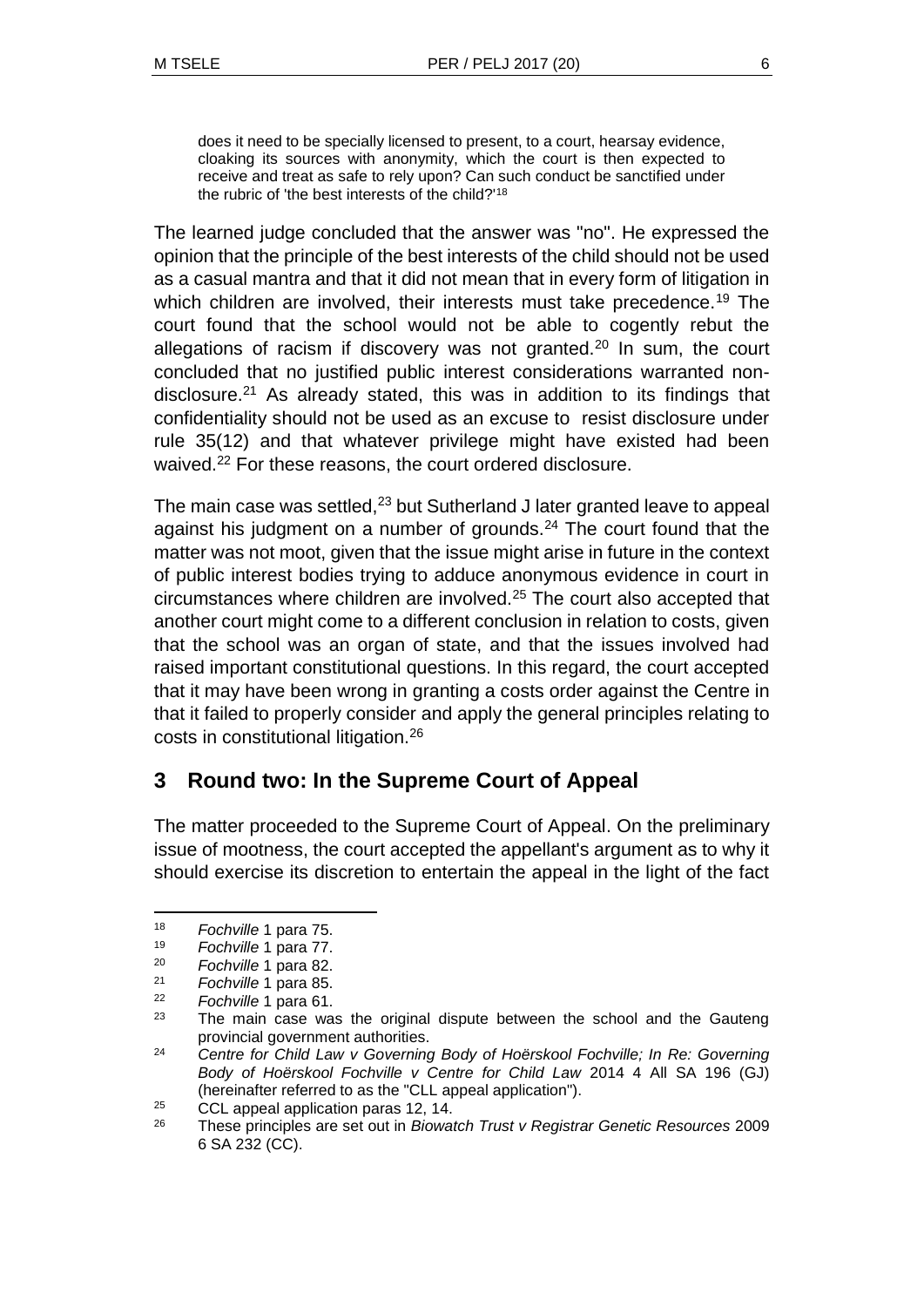does it need to be specially licensed to present, to a court, hearsay evidence, cloaking its sources with anonymity, which the court is then expected to receive and treat as safe to rely upon? Can such conduct be sanctified under the rubric of 'the best interests of the child?'<sup>18</sup>

The learned judge concluded that the answer was "no". He expressed the opinion that the principle of the best interests of the child should not be used as a casual mantra and that it did not mean that in every form of litigation in which children are involved, their interests must take precedence.<sup>19</sup> The court found that the school would not be able to cogently rebut the allegations of racism if discovery was not granted.<sup>20</sup> In sum, the court concluded that no justified public interest considerations warranted nondisclosure.<sup>21</sup> As already stated, this was in addition to its findings that confidentiality should not be used as an excuse to resist disclosure under rule 35(12) and that whatever privilege might have existed had been waived.<sup>22</sup> For these reasons, the court ordered disclosure.

The main case was settled, $23$  but Sutherland J later granted leave to appeal against his judgment on a number of grounds. $24$  The court found that the matter was not moot, given that the issue might arise in future in the context of public interest bodies trying to adduce anonymous evidence in court in circumstances where children are involved.<sup>25</sup> The court also accepted that another court might come to a different conclusion in relation to costs, given that the school was an organ of state, and that the issues involved had raised important constitutional questions. In this regard, the court accepted that it may have been wrong in granting a costs order against the Centre in that it failed to properly consider and apply the general principles relating to costs in constitutional litigation.<sup>26</sup>

# **3 Round two: In the Supreme Court of Appeal**

The matter proceeded to the Supreme Court of Appeal. On the preliminary issue of mootness, the court accepted the appellant's argument as to why it should exercise its discretion to entertain the appeal in the light of the fact

<sup>18</sup> *Fochville* 1 para 75.

<sup>19</sup> *Fochville* 1 para 77.

<sup>20</sup> *Fochville* 1 para 82.

Fochville 1 para 85.

<sup>22</sup> *Fochville* 1 para 61.

The main case was the original dispute between the school and the Gauteng provincial government authorities.

<sup>24</sup> *Centre for Child Law v Governing Body of Hoërskool Fochville; In Re: Governing Body of Hoërskool Fochville v Centre for Child Law* 2014 4 All SA 196 (GJ) (hereinafter referred to as the "CLL appeal application").

<sup>25</sup> CCL appeal application paras 12, 14.

<sup>26</sup> These principles are set out in *Biowatch Trust v Registrar Genetic Resources* 2009 6 SA 232 (CC).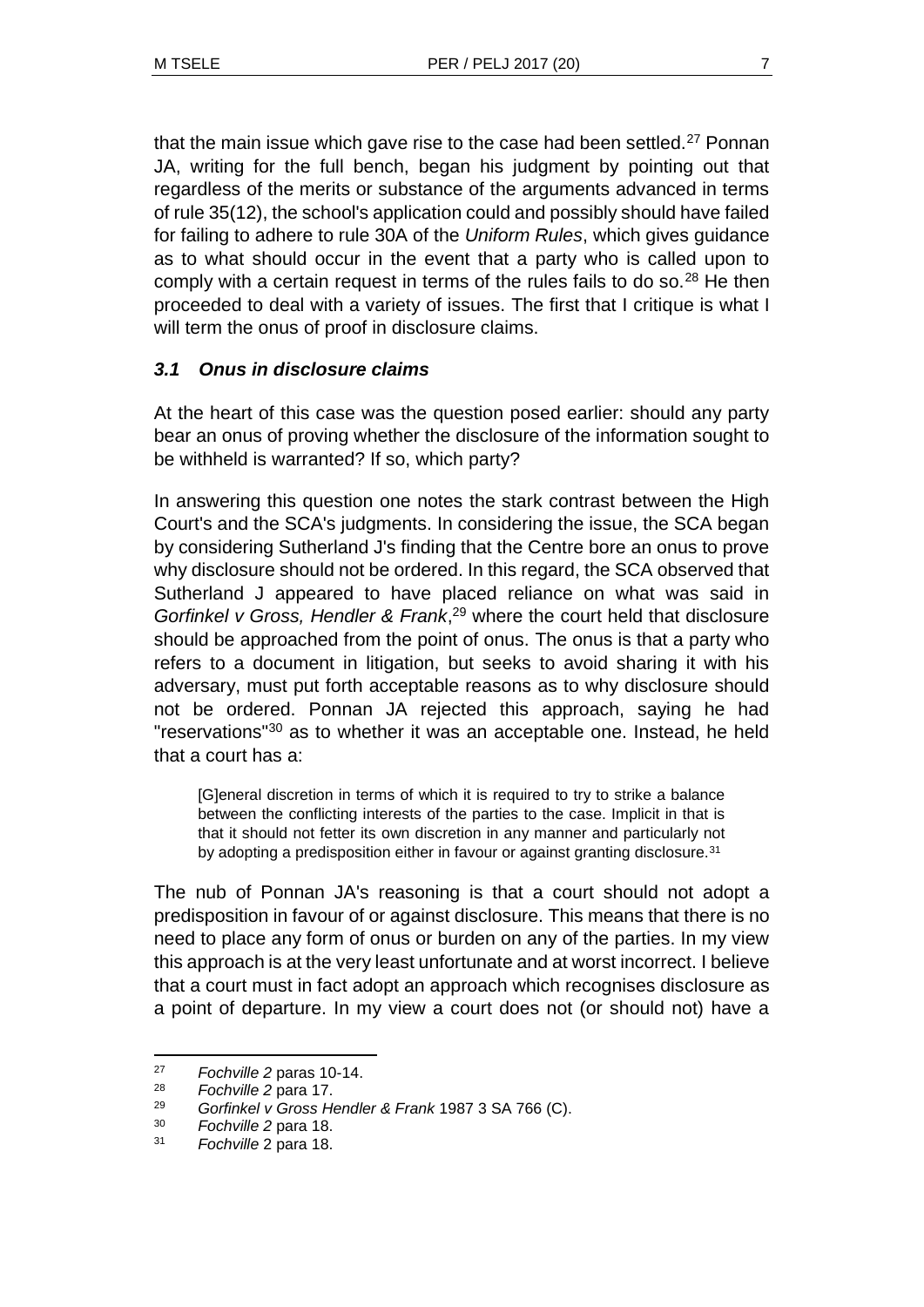that the main issue which gave rise to the case had been settled. $27$  Ponnan JA, writing for the full bench, began his judgment by pointing out that regardless of the merits or substance of the arguments advanced in terms of rule 35(12), the school's application could and possibly should have failed for failing to adhere to rule 30A of the *Uniform Rules*, which gives guidance as to what should occur in the event that a party who is called upon to comply with a certain request in terms of the rules fails to do so. $28$  He then proceeded to deal with a variety of issues. The first that I critique is what I will term the onus of proof in disclosure claims.

### *3.1 Onus in disclosure claims*

At the heart of this case was the question posed earlier: should any party bear an onus of proving whether the disclosure of the information sought to be withheld is warranted? If so, which party?

In answering this question one notes the stark contrast between the High Court's and the SCA's judgments. In considering the issue, the SCA began by considering Sutherland J's finding that the Centre bore an onus to prove why disclosure should not be ordered. In this regard, the SCA observed that Sutherland J appeared to have placed reliance on what was said in *Gorfinkel v Gross, Hendler & Frank*, <sup>29</sup> where the court held that disclosure should be approached from the point of onus. The onus is that a party who refers to a document in litigation, but seeks to avoid sharing it with his adversary, must put forth acceptable reasons as to why disclosure should not be ordered. Ponnan JA rejected this approach, saying he had "reservations"<sup>30</sup> as to whether it was an acceptable one. Instead, he held that a court has a:

[G]eneral discretion in terms of which it is required to try to strike a balance between the conflicting interests of the parties to the case. Implicit in that is that it should not fetter its own discretion in any manner and particularly not by adopting a predisposition either in favour or against granting disclosure.<sup>31</sup>

The nub of Ponnan JA's reasoning is that a court should not adopt a predisposition in favour of or against disclosure. This means that there is no need to place any form of onus or burden on any of the parties. In my view this approach is at the very least unfortunate and at worst incorrect. I believe that a court must in fact adopt an approach which recognises disclosure as a point of departure. In my view a court does not (or should not) have a

<sup>27</sup> *Fochville 2* paras 10-14.

<sup>28</sup> *Fochville 2* para 17.

<sup>29</sup> *Gorfinkel v Gross Hendler & Frank* 1987 3 SA 766 (C).

<sup>30</sup> *Fochville 2* para 18.

<sup>31</sup> *Fochville* 2 para 18.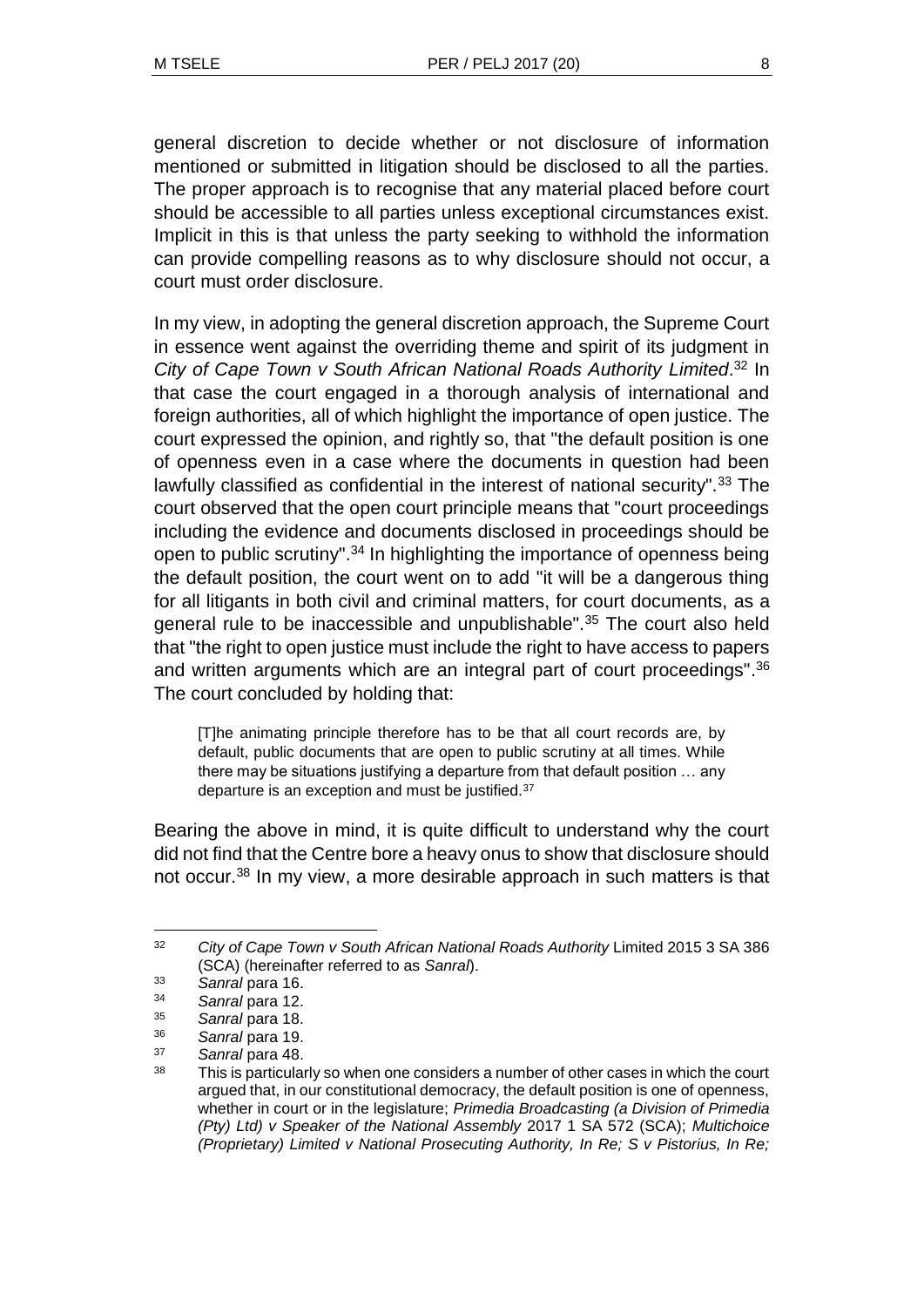general discretion to decide whether or not disclosure of information mentioned or submitted in litigation should be disclosed to all the parties. The proper approach is to recognise that any material placed before court should be accessible to all parties unless exceptional circumstances exist. Implicit in this is that unless the party seeking to withhold the information can provide compelling reasons as to why disclosure should not occur, a court must order disclosure.

In my view, in adopting the general discretion approach, the Supreme Court in essence went against the overriding theme and spirit of its judgment in *City of Cape Town v South African National Roads Authority Limited*. <sup>32</sup> In that case the court engaged in a thorough analysis of international and foreign authorities, all of which highlight the importance of open justice. The court expressed the opinion, and rightly so, that "the default position is one of openness even in a case where the documents in question had been lawfully classified as confidential in the interest of national security".<sup>33</sup> The court observed that the open court principle means that "court proceedings including the evidence and documents disclosed in proceedings should be open to public scrutiny".<sup>34</sup> In highlighting the importance of openness being the default position, the court went on to add "it will be a dangerous thing for all litigants in both civil and criminal matters, for court documents, as a general rule to be inaccessible and unpublishable".<sup>35</sup> The court also held that "the right to open justice must include the right to have access to papers and written arguments which are an integral part of court proceedings".<sup>36</sup> The court concluded by holding that:

[T]he animating principle therefore has to be that all court records are, by default, public documents that are open to public scrutiny at all times. While there may be situations justifying a departure from that default position … any departure is an exception and must be justified.<sup>37</sup>

Bearing the above in mind, it is quite difficult to understand why the court did not find that the Centre bore a heavy onus to show that disclosure should not occur.<sup>38</sup> In my view, a more desirable approach in such matters is that

 $\overline{a}$ 

<sup>32</sup> *City of Cape Town v South African National Roads Authority* Limited 2015 3 SA 386 (SCA) (hereinafter referred to as *Sanral*).

<sup>33</sup> *Sanral* para 16.

<sup>34</sup> *Sanral* para 12.

<sup>35</sup> *Sanral* para 18.

<sup>36</sup> *Sanral* para 19.

<sup>37</sup> *Sanral* para 48.

<sup>&</sup>lt;sup>38</sup> This is particularly so when one considers a number of other cases in which the court argued that, in our constitutional democracy, the default position is one of openness, whether in court or in the legislature; *Primedia Broadcasting (a Division of Primedia (Pty) Ltd) v Speaker of the National Assembly* 2017 1 SA 572 (SCA); *Multichoice (Proprietary) Limited v National Prosecuting Authority, In Re; S v Pistorius, In Re;*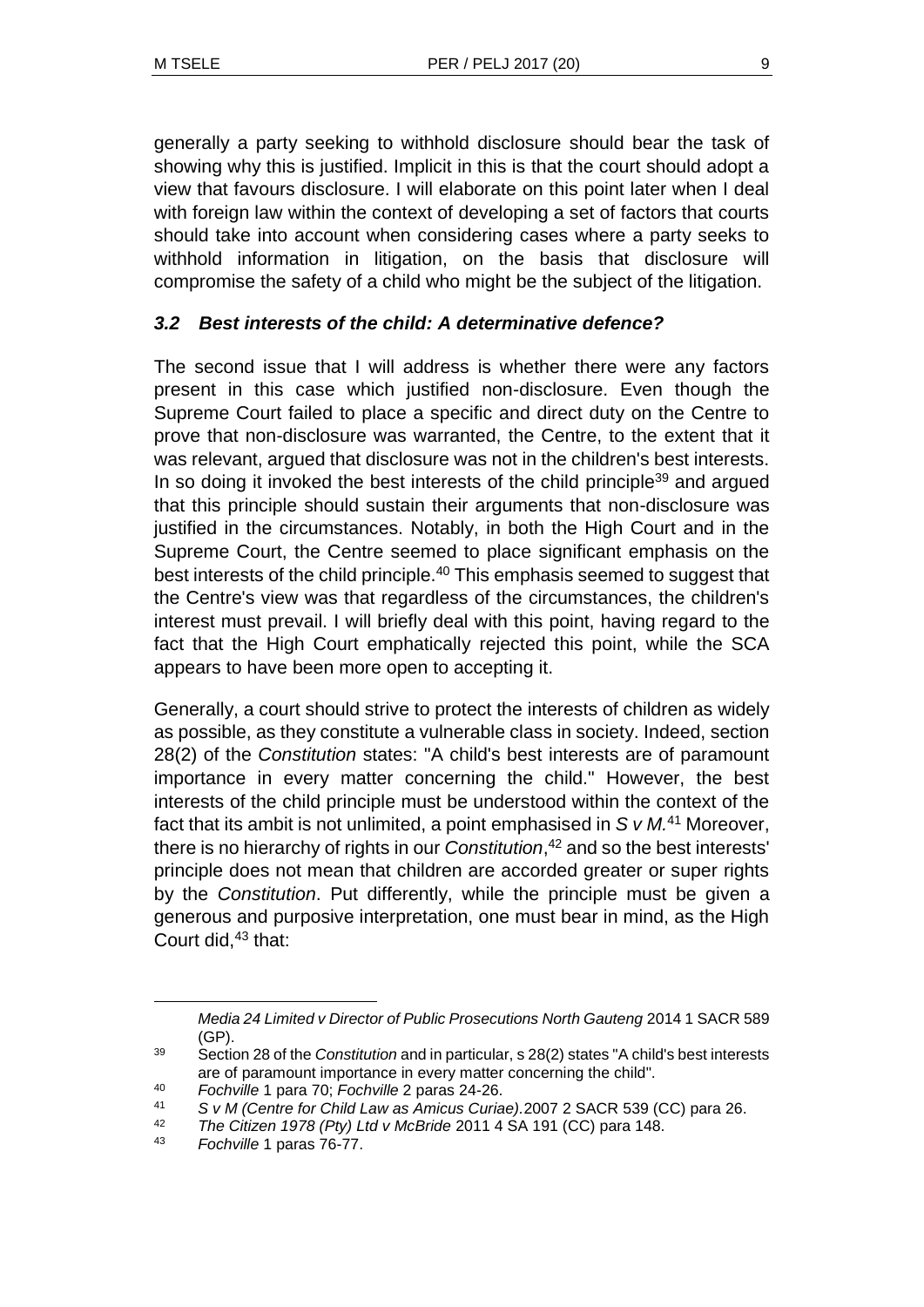generally a party seeking to withhold disclosure should bear the task of showing why this is justified. Implicit in this is that the court should adopt a view that favours disclosure. I will elaborate on this point later when I deal with foreign law within the context of developing a set of factors that courts should take into account when considering cases where a party seeks to withhold information in litigation, on the basis that disclosure will compromise the safety of a child who might be the subject of the litigation.

## *3.2 Best interests of the child: A determinative defence?*

The second issue that I will address is whether there were any factors present in this case which justified non-disclosure. Even though the Supreme Court failed to place a specific and direct duty on the Centre to prove that non-disclosure was warranted, the Centre, to the extent that it was relevant, argued that disclosure was not in the children's best interests. In so doing it invoked the best interests of the child principle<sup>39</sup> and argued that this principle should sustain their arguments that non-disclosure was justified in the circumstances. Notably, in both the High Court and in the Supreme Court, the Centre seemed to place significant emphasis on the best interests of the child principle.<sup>40</sup> This emphasis seemed to suggest that the Centre's view was that regardless of the circumstances, the children's interest must prevail. I will briefly deal with this point, having regard to the fact that the High Court emphatically rejected this point, while the SCA appears to have been more open to accepting it.

Generally, a court should strive to protect the interests of children as widely as possible, as they constitute a vulnerable class in society. Indeed, section 28(2) of the *Constitution* states: "A child's best interests are of paramount importance in every matter concerning the child." However, the best interests of the child principle must be understood within the context of the fact that its ambit is not unlimited, a point emphasised in *S v M.*<sup>41</sup> Moreover, there is no hierarchy of rights in our *Constitution*, <sup>42</sup> and so the best interests' principle does not mean that children are accorded greater or super rights by the *Constitution*. Put differently, while the principle must be given a generous and purposive interpretation, one must bear in mind, as the High Court did, $43$  that:

*Media 24 Limited v Director of Public Prosecutions North Gauteng* 2014 1 SACR 589 (GP).

<sup>39</sup> Section 28 of the *Constitution* and in particular, s 28(2) states "A child's best interests are of paramount importance in every matter concerning the child".

<sup>40</sup> *Fochville* 1 para 70; *Fochville* 2 paras 24-26.

<sup>41</sup> *S v M (Centre for Child Law as Amicus Curiae).*2007 2 SACR 539 (CC) para 26.

<sup>42</sup> *The Citizen 1978 (Pty) Ltd v McBride* 2011 4 SA 191 (CC) para 148.

<sup>43</sup> *Fochville* 1 paras 76-77.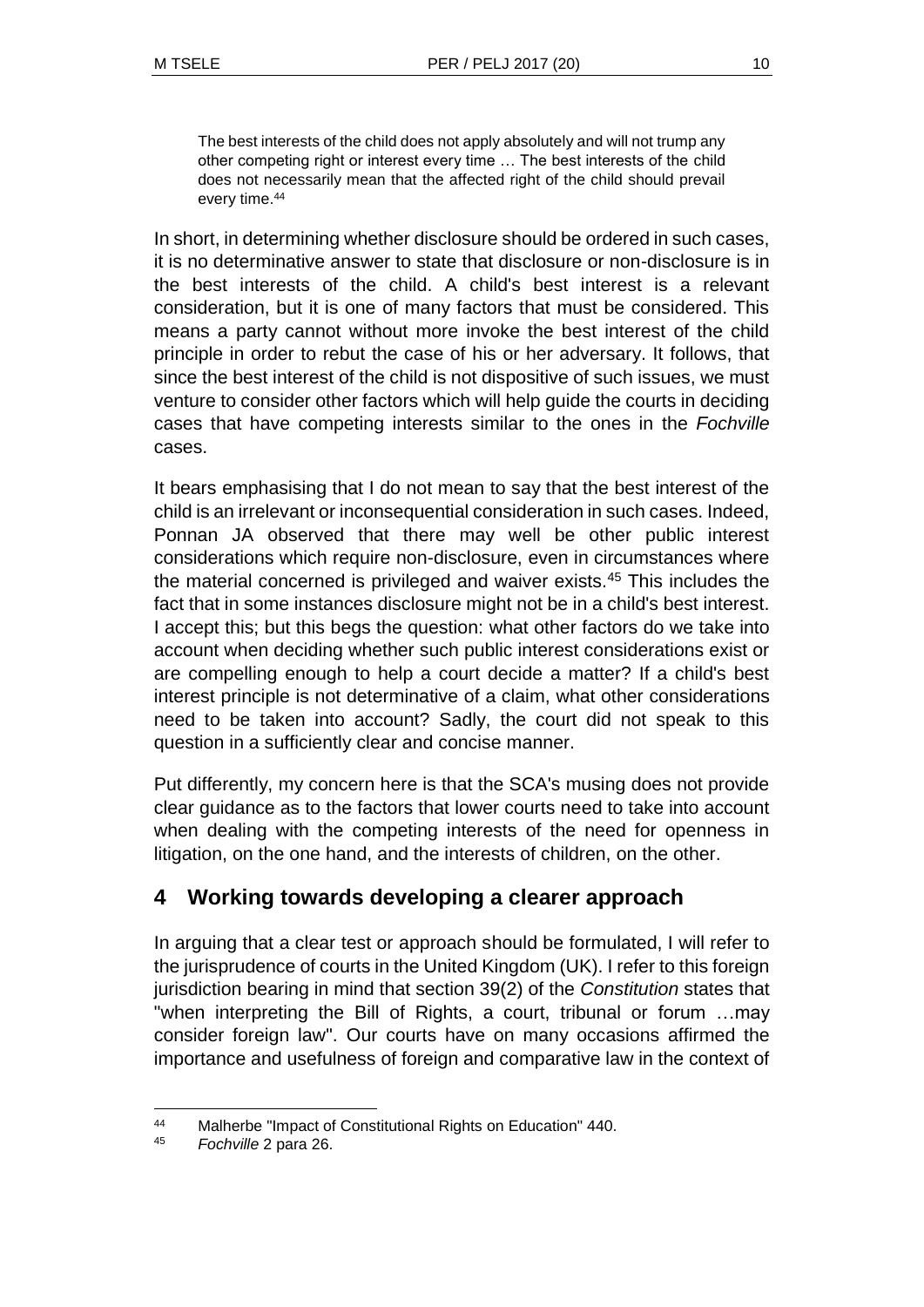The best interests of the child does not apply absolutely and will not trump any other competing right or interest every time … The best interests of the child does not necessarily mean that the affected right of the child should prevail every time.<sup>44</sup>

In short, in determining whether disclosure should be ordered in such cases, it is no determinative answer to state that disclosure or non-disclosure is in the best interests of the child. A child's best interest is a relevant consideration, but it is one of many factors that must be considered. This means a party cannot without more invoke the best interest of the child principle in order to rebut the case of his or her adversary. It follows, that since the best interest of the child is not dispositive of such issues, we must venture to consider other factors which will help guide the courts in deciding cases that have competing interests similar to the ones in the *Fochville*  cases.

It bears emphasising that I do not mean to say that the best interest of the child is an irrelevant or inconsequential consideration in such cases. Indeed, Ponnan JA observed that there may well be other public interest considerations which require non-disclosure, even in circumstances where the material concerned is privileged and waiver exists.<sup>45</sup> This includes the fact that in some instances disclosure might not be in a child's best interest. I accept this; but this begs the question: what other factors do we take into account when deciding whether such public interest considerations exist or are compelling enough to help a court decide a matter? If a child's best interest principle is not determinative of a claim, what other considerations need to be taken into account? Sadly, the court did not speak to this question in a sufficiently clear and concise manner.

Put differently, my concern here is that the SCA's musing does not provide clear guidance as to the factors that lower courts need to take into account when dealing with the competing interests of the need for openness in litigation, on the one hand, and the interests of children, on the other.

# **4 Working towards developing a clearer approach**

In arguing that a clear test or approach should be formulated, I will refer to the jurisprudence of courts in the United Kingdom (UK). I refer to this foreign jurisdiction bearing in mind that section 39(2) of the *Constitution* states that "when interpreting the Bill of Rights, a court, tribunal or forum …may consider foreign law". Our courts have on many occasions affirmed the importance and usefulness of foreign and comparative law in the context of

l <sup>44</sup> Malherbe "Impact of Constitutional Rights on Education" 440.

<sup>45</sup> *Fochville* 2 para 26.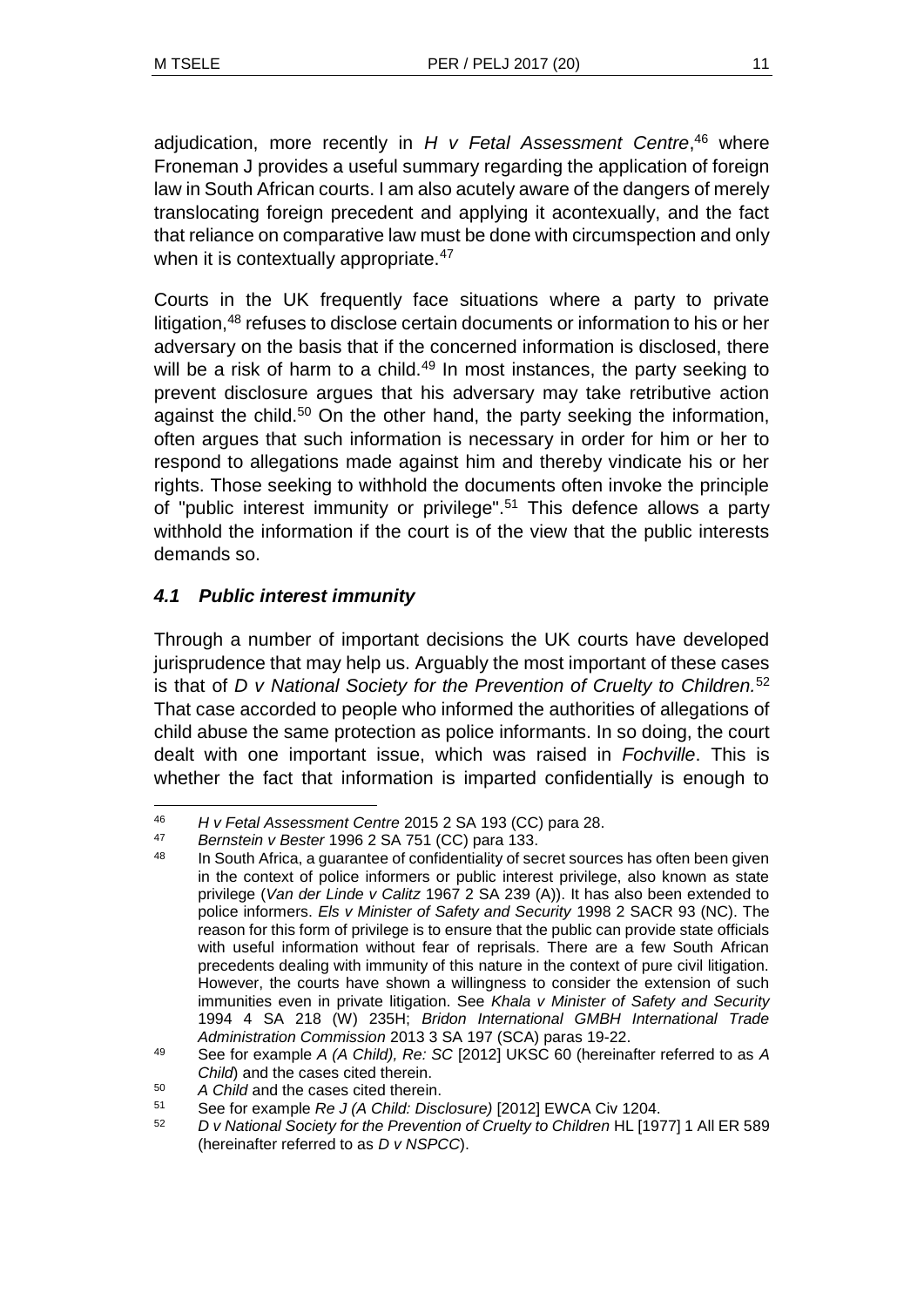adjudication, more recently in *H v Fetal Assessment Centre*, <sup>46</sup> where Froneman J provides a useful summary regarding the application of foreign law in South African courts. I am also acutely aware of the dangers of merely translocating foreign precedent and applying it acontexually, and the fact that reliance on comparative law must be done with circumspection and only when it is contextually appropriate.<sup>47</sup>

Courts in the UK frequently face situations where a party to private litigation,<sup>48</sup> refuses to disclose certain documents or information to his or her adversary on the basis that if the concerned information is disclosed, there will be a risk of harm to a child. $49$  In most instances, the party seeking to prevent disclosure argues that his adversary may take retributive action against the child.<sup>50</sup> On the other hand, the party seeking the information, often argues that such information is necessary in order for him or her to respond to allegations made against him and thereby vindicate his or her rights. Those seeking to withhold the documents often invoke the principle of "public interest immunity or privilege".<sup>51</sup> This defence allows a party withhold the information if the court is of the view that the public interests demands so.

## *4.1 Public interest immunity*

Through a number of important decisions the UK courts have developed jurisprudence that may help us. Arguably the most important of these cases is that of *D v National Society for the Prevention of Cruelty to Children.*<sup>52</sup> That case accorded to people who informed the authorities of allegations of child abuse the same protection as police informants. In so doing, the court dealt with one important issue, which was raised in *Fochville*. This is whether the fact that information is imparted confidentially is enough to

l <sup>46</sup> *H v Fetal Assessment Centre* 2015 2 SA 193 (CC) para 28.

<sup>47</sup> *Bernstein v Bester* 1996 2 SA 751 (CC) para 133.

In South Africa, a guarantee of confidentiality of secret sources has often been given in the context of police informers or public interest privilege, also known as state privilege (*Van der Linde v Calitz* 1967 2 SA 239 (A)). It has also been extended to police informers. *Els v Minister of Safety and Security* 1998 2 SACR 93 (NC). The reason for this form of privilege is to ensure that the public can provide state officials with useful information without fear of reprisals. There are a few South African precedents dealing with immunity of this nature in the context of pure civil litigation. However, the courts have shown a willingness to consider the extension of such immunities even in private litigation. See *Khala v Minister of Safety and Security* 1994 4 SA 218 (W) 235H; *Bridon International GMBH International Trade Administration Commission* 2013 3 SA 197 (SCA) paras 19-22.

<sup>49</sup> See for example *A (A Child), Re: SC* [2012] UKSC 60 (hereinafter referred to as *A Child*) and the cases cited therein.

<sup>50</sup> *A Child* and the cases cited therein.

<sup>51</sup> See for example *Re J (A Child: Disclosure)* [2012] EWCA Civ 1204.

<sup>52</sup> *D v National Society for the Prevention of Cruelty to Children* HL [1977] 1 All ER 589 (hereinafter referred to as *D v NSPCC*).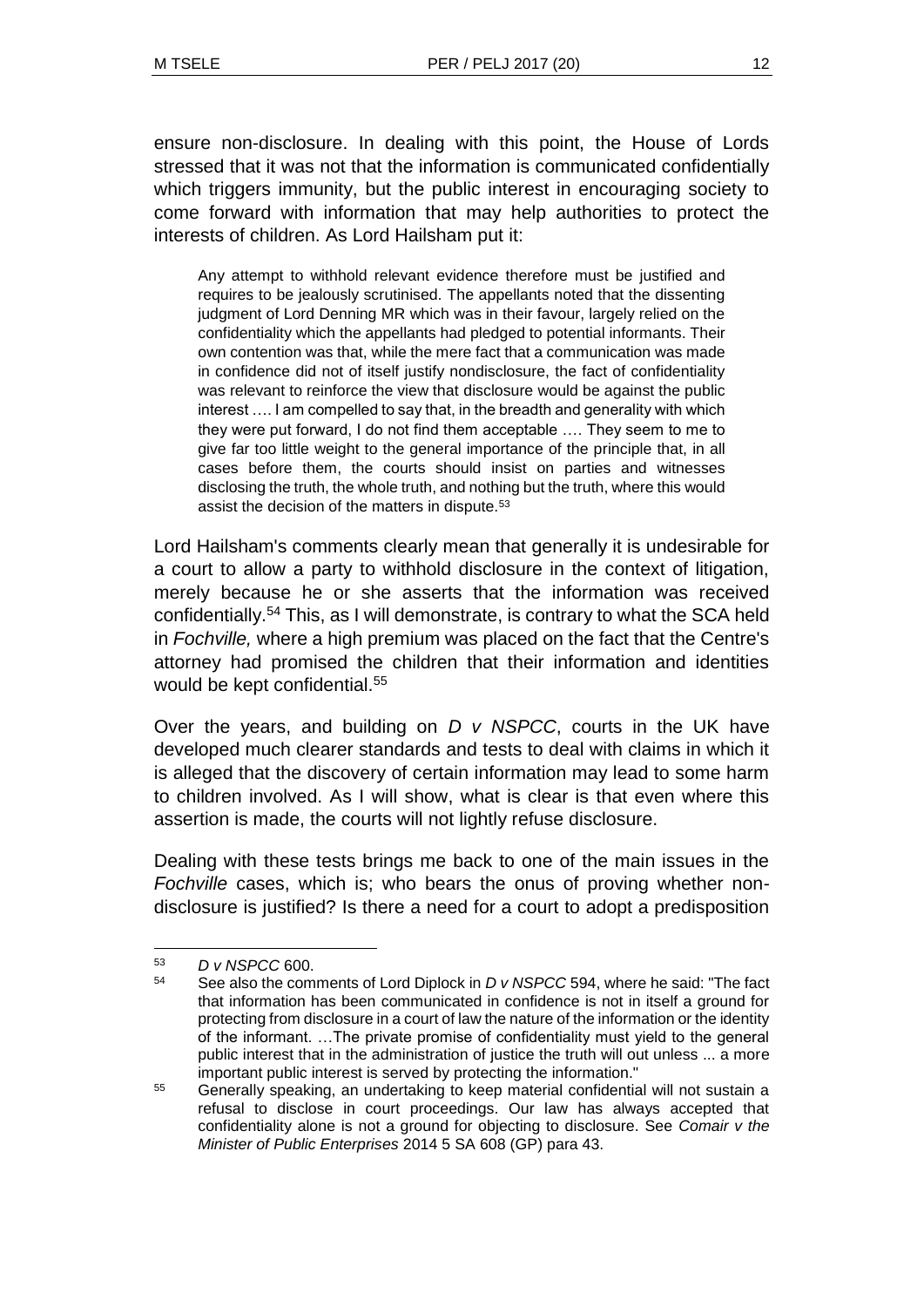ensure non-disclosure. In dealing with this point, the House of Lords stressed that it was not that the information is communicated confidentially which triggers immunity, but the public interest in encouraging society to come forward with information that may help authorities to protect the interests of children. As Lord Hailsham put it:

Any attempt to withhold relevant evidence therefore must be justified and requires to be jealously scrutinised. The appellants noted that the dissenting judgment of Lord Denning MR which was in their favour, largely relied on the confidentiality which the appellants had pledged to potential informants. Their own contention was that, while the mere fact that a communication was made in confidence did not of itself justify nondisclosure, the fact of confidentiality was relevant to reinforce the view that disclosure would be against the public interest …. I am compelled to say that, in the breadth and generality with which they were put forward, I do not find them acceptable …. They seem to me to give far too little weight to the general importance of the principle that, in all cases before them, the courts should insist on parties and witnesses disclosing the truth, the whole truth, and nothing but the truth, where this would assist the decision of the matters in dispute.<sup>53</sup>

Lord Hailsham's comments clearly mean that generally it is undesirable for a court to allow a party to withhold disclosure in the context of litigation, merely because he or she asserts that the information was received confidentially.<sup>54</sup> This, as I will demonstrate, is contrary to what the SCA held in *Fochville,* where a high premium was placed on the fact that the Centre's attorney had promised the children that their information and identities would be kept confidential.<sup>55</sup>

Over the years, and building on *D v NSPCC*, courts in the UK have developed much clearer standards and tests to deal with claims in which it is alleged that the discovery of certain information may lead to some harm to children involved. As I will show, what is clear is that even where this assertion is made, the courts will not lightly refuse disclosure.

Dealing with these tests brings me back to one of the main issues in the *Fochville* cases, which is; who bears the onus of proving whether nondisclosure is justified? Is there a need for a court to adopt a predisposition

l <sup>53</sup> *D v NSPCC* 600.

<sup>54</sup> See also the comments of Lord Diplock in *D v NSPCC* 594, where he said: "The fact that information has been communicated in confidence is not in itself a ground for protecting from disclosure in a court of law the nature of the information or the identity of the informant. …The private promise of confidentiality must yield to the general public interest that in the administration of justice the truth will out unless ... a more important public interest is served by protecting the information."

<sup>&</sup>lt;sup>55</sup> Generally speaking, an undertaking to keep material confidential will not sustain a refusal to disclose in court proceedings. Our law has always accepted that confidentiality alone is not a ground for objecting to disclosure. See *Comair v the Minister of Public Enterprises* 2014 5 SA 608 (GP) para 43.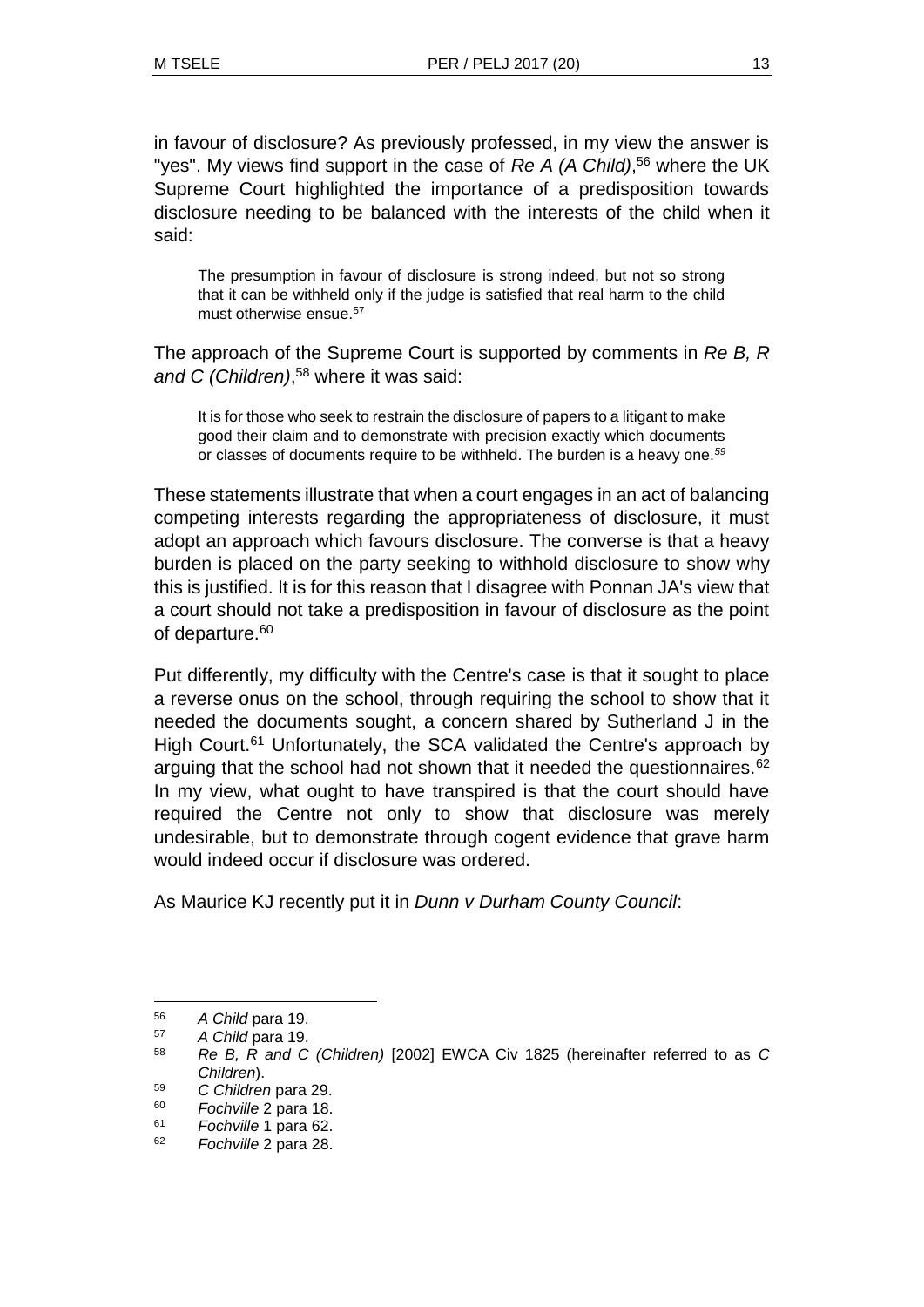in favour of disclosure? As previously professed, in my view the answer is "yes". My views find support in the case of *Re A (A Child)*,<sup>56</sup> where the UK Supreme Court highlighted the importance of a predisposition towards disclosure needing to be balanced with the interests of the child when it said:

The presumption in favour of disclosure is strong indeed, but not so strong that it can be withheld only if the judge is satisfied that real harm to the child must otherwise ensue.<sup>57</sup>

The approach of the Supreme Court is supported by comments in *Re B, R and C (Children)*, <sup>58</sup> where it was said:

It is for those who seek to restrain the disclosure of papers to a litigant to make good their claim and to demonstrate with precision exactly which documents or classes of documents require to be withheld. The burden is a heavy one.*<sup>59</sup>*

These statements illustrate that when a court engages in an act of balancing competing interests regarding the appropriateness of disclosure, it must adopt an approach which favours disclosure. The converse is that a heavy burden is placed on the party seeking to withhold disclosure to show why this is justified. It is for this reason that I disagree with Ponnan JA's view that a court should not take a predisposition in favour of disclosure as the point of departure.<sup>60</sup>

Put differently, my difficulty with the Centre's case is that it sought to place a reverse onus on the school, through requiring the school to show that it needed the documents sought, a concern shared by Sutherland J in the High Court.<sup>61</sup> Unfortunately, the SCA validated the Centre's approach by arguing that the school had not shown that it needed the questionnaires.<sup>62</sup> In my view, what ought to have transpired is that the court should have required the Centre not only to show that disclosure was merely undesirable, but to demonstrate through cogent evidence that grave harm would indeed occur if disclosure was ordered.

As Maurice KJ recently put it in *Dunn v Durham County Council*:

<sup>56</sup> *A Child* para 19.

<sup>57</sup> *A Child* para 19.

<sup>58</sup> *Re B, R and C (Children)* [2002] EWCA Civ 1825 (hereinafter referred to as *C Children*).

<sup>59</sup> *C Children* para 29.

<sup>60</sup> *Fochville* 2 para 18.

<sup>61</sup> *Fochville* 1 para 62.

<sup>62</sup> *Fochville* 2 para 28.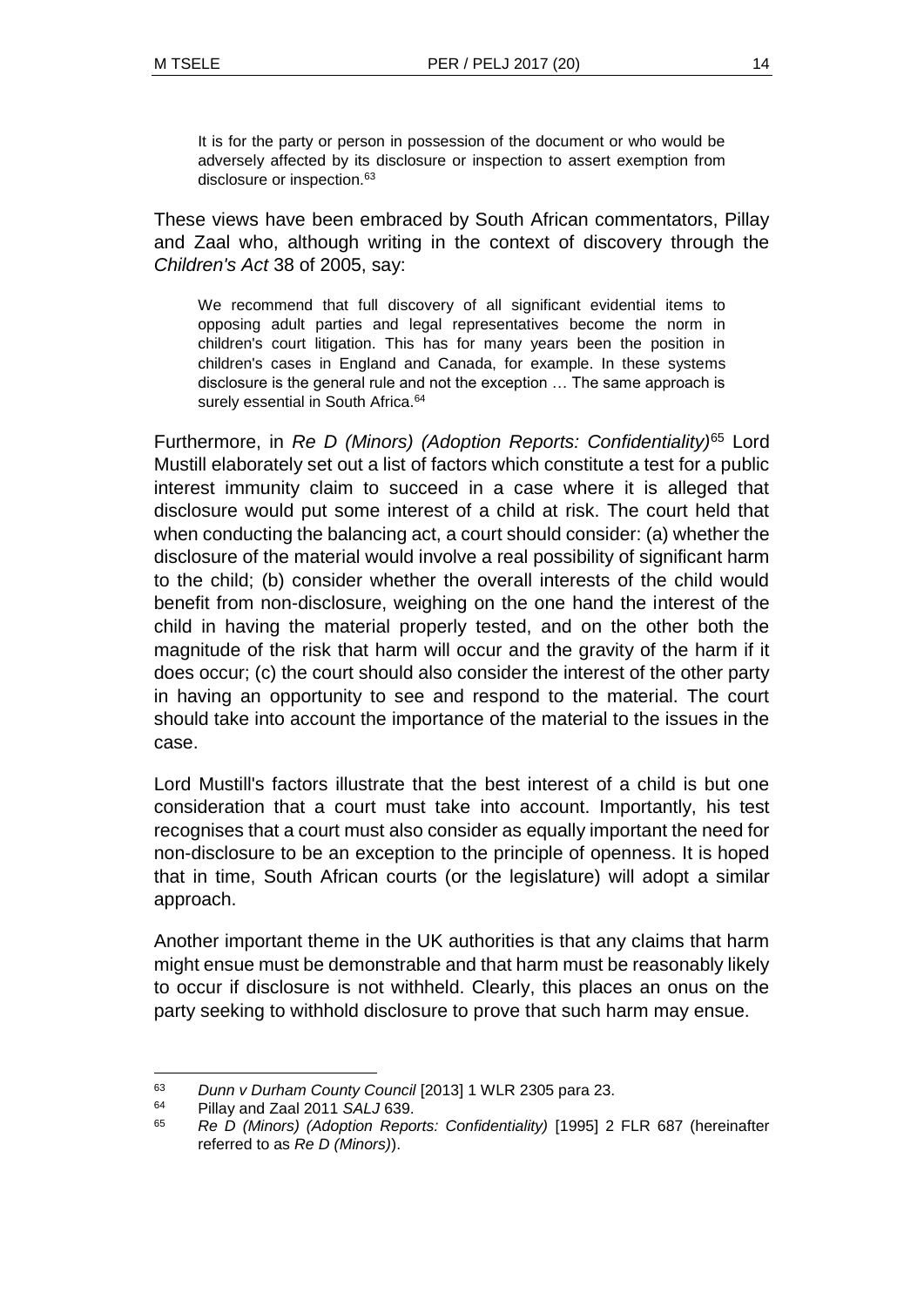It is for the party or person in possession of the document or who would be adversely affected by its disclosure or inspection to assert exemption from disclosure or inspection.<sup>63</sup>

These views have been embraced by South African commentators, Pillay and Zaal who, although writing in the context of discovery through the *Children's Act* 38 of 2005, say:

We recommend that full discovery of all significant evidential items to opposing adult parties and legal representatives become the norm in children's court litigation. This has for many years been the position in children's cases in England and Canada, for example. In these systems disclosure is the general rule and not the exception … The same approach is surely essential in South Africa.<sup>64</sup>

Furthermore, in *Re D (Minors) (Adoption Reports: Confidentiality)*<sup>65</sup> Lord Mustill elaborately set out a list of factors which constitute a test for a public interest immunity claim to succeed in a case where it is alleged that disclosure would put some interest of a child at risk. The court held that when conducting the balancing act, a court should consider: (a) whether the disclosure of the material would involve a real possibility of significant harm to the child; (b) consider whether the overall interests of the child would benefit from non-disclosure, weighing on the one hand the interest of the child in having the material properly tested, and on the other both the magnitude of the risk that harm will occur and the gravity of the harm if it does occur; (c) the court should also consider the interest of the other party in having an opportunity to see and respond to the material. The court should take into account the importance of the material to the issues in the case.

Lord Mustill's factors illustrate that the best interest of a child is but one consideration that a court must take into account. Importantly, his test recognises that a court must also consider as equally important the need for non-disclosure to be an exception to the principle of openness. It is hoped that in time, South African courts (or the legislature) will adopt a similar approach.

Another important theme in the UK authorities is that any claims that harm might ensue must be demonstrable and that harm must be reasonably likely to occur if disclosure is not withheld. Clearly, this places an onus on the party seeking to withhold disclosure to prove that such harm may ensue.

l <sup>63</sup> *Dunn v Durham County Council* [2013] 1 WLR 2305 para 23.

<sup>64</sup> Pillay and Zaal 2011 *SALJ* 639.

<sup>65</sup> *Re D (Minors) (Adoption Reports: Confidentiality)* [1995] 2 FLR 687 (hereinafter referred to as *Re D (Minors)*).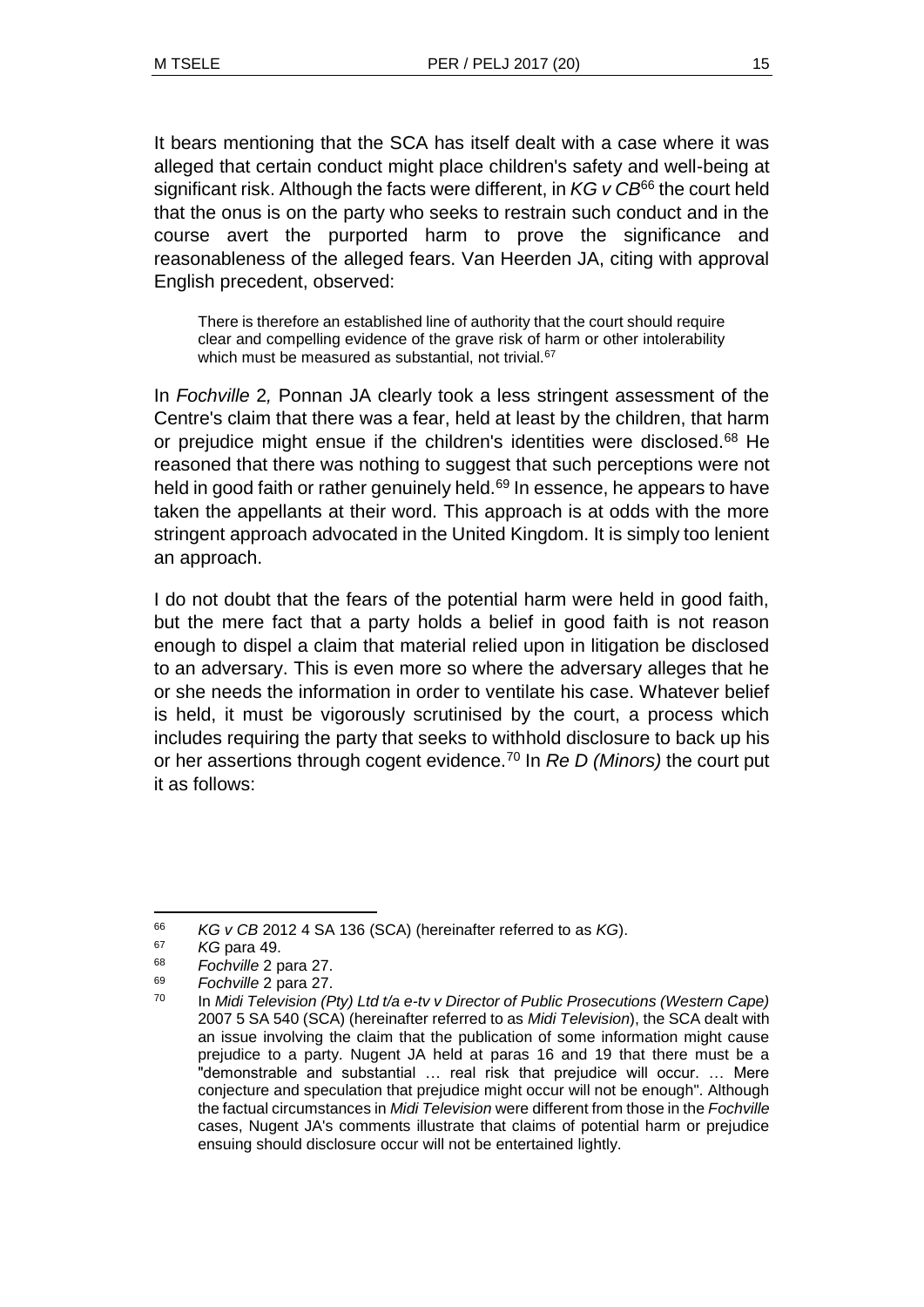It bears mentioning that the SCA has itself dealt with a case where it was alleged that certain conduct might place children's safety and well-being at significant risk. Although the facts were different, in *KG v CB*<sup>66</sup> the court held that the onus is on the party who seeks to restrain such conduct and in the course avert the purported harm to prove the significance and reasonableness of the alleged fears. Van Heerden JA, citing with approval English precedent, observed:

There is therefore an established line of authority that the court should require clear and compelling evidence of the grave risk of harm or other intolerability which must be measured as substantial, not trivial.<sup>67</sup>

In *Fochville* 2*,* Ponnan JA clearly took a less stringent assessment of the Centre's claim that there was a fear, held at least by the children, that harm or prejudice might ensue if the children's identities were disclosed.<sup>68</sup> He reasoned that there was nothing to suggest that such perceptions were not held in good faith or rather genuinely held.<sup>69</sup> In essence, he appears to have taken the appellants at their word. This approach is at odds with the more stringent approach advocated in the United Kingdom. It is simply too lenient an approach.

I do not doubt that the fears of the potential harm were held in good faith, but the mere fact that a party holds a belief in good faith is not reason enough to dispel a claim that material relied upon in litigation be disclosed to an adversary. This is even more so where the adversary alleges that he or she needs the information in order to ventilate his case. Whatever belief is held, it must be vigorously scrutinised by the court, a process which includes requiring the party that seeks to withhold disclosure to back up his or her assertions through cogent evidence.<sup>70</sup> In *Re D (Minors)* the court put it as follows:

l <sup>66</sup> *KG v CB* 2012 4 SA 136 (SCA) (hereinafter referred to as *KG*).

<sup>67</sup> *KG* para 49.

<sup>68</sup> *Fochville* 2 para 27.

<sup>69</sup> *Fochville* 2 para 27.

<sup>70</sup> In *Midi Television (Pty) Ltd t/a e-tv v Director of Public Prosecutions (Western Cape)* 2007 5 SA 540 (SCA) (hereinafter referred to as *Midi Television*), the SCA dealt with an issue involving the claim that the publication of some information might cause prejudice to a party. Nugent JA held at paras 16 and 19 that there must be a "demonstrable and substantial … real risk that prejudice will occur. … Mere conjecture and speculation that prejudice might occur will not be enough". Although the factual circumstances in *Midi Television* were different from those in the *Fochville* cases, Nugent JA's comments illustrate that claims of potential harm or prejudice ensuing should disclosure occur will not be entertained lightly.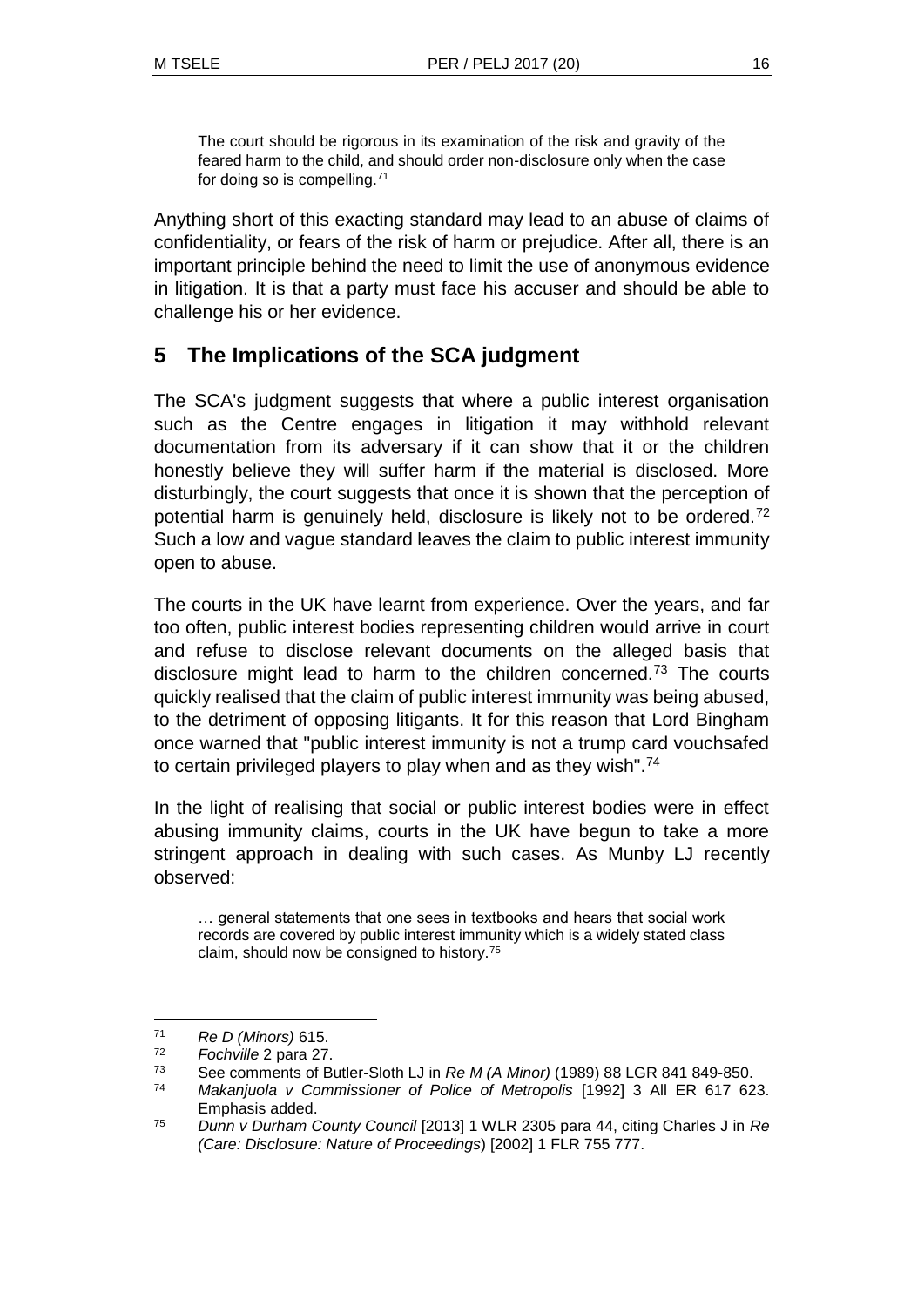The court should be rigorous in its examination of the risk and gravity of the feared harm to the child, and should order non-disclosure only when the case for doing so is compelling.<sup>71</sup>

Anything short of this exacting standard may lead to an abuse of claims of confidentiality, or fears of the risk of harm or prejudice. After all, there is an important principle behind the need to limit the use of anonymous evidence in litigation. It is that a party must face his accuser and should be able to challenge his or her evidence.

## **5 The Implications of the SCA judgment**

The SCA's judgment suggests that where a public interest organisation such as the Centre engages in litigation it may withhold relevant documentation from its adversary if it can show that it or the children honestly believe they will suffer harm if the material is disclosed. More disturbingly, the court suggests that once it is shown that the perception of potential harm is genuinely held, disclosure is likely not to be ordered.<sup>72</sup> Such a low and vague standard leaves the claim to public interest immunity open to abuse.

The courts in the UK have learnt from experience. Over the years, and far too often, public interest bodies representing children would arrive in court and refuse to disclose relevant documents on the alleged basis that disclosure might lead to harm to the children concerned.<sup>73</sup> The courts quickly realised that the claim of public interest immunity was being abused, to the detriment of opposing litigants. It for this reason that Lord Bingham once warned that "public interest immunity is not a trump card vouchsafed to certain privileged players to play when and as they wish".<sup>74</sup>

In the light of realising that social or public interest bodies were in effect abusing immunity claims, courts in the UK have begun to take a more stringent approach in dealing with such cases. As Munby LJ recently observed:

… general statements that one sees in textbooks and hears that social work records are covered by public interest immunity which is a widely stated class claim, should now be consigned to history.<sup>75</sup>

<sup>71</sup> *Re D (Minors)* 615.

<sup>72</sup> *Fochville* 2 para 27.

<sup>73</sup> See comments of Butler-Sloth LJ in *Re M (A Minor)* (1989) 88 LGR 841 849-850.

<sup>74</sup> *Makanjuola v Commissioner of Police of Metropolis* [1992] 3 All ER 617 623. Emphasis added.

<sup>75</sup> *Dunn v Durham County Council* [2013] 1 WLR 2305 para 44, citing Charles J in *Re (Care: Disclosure: Nature of Proceedings*) [2002] 1 FLR 755 777.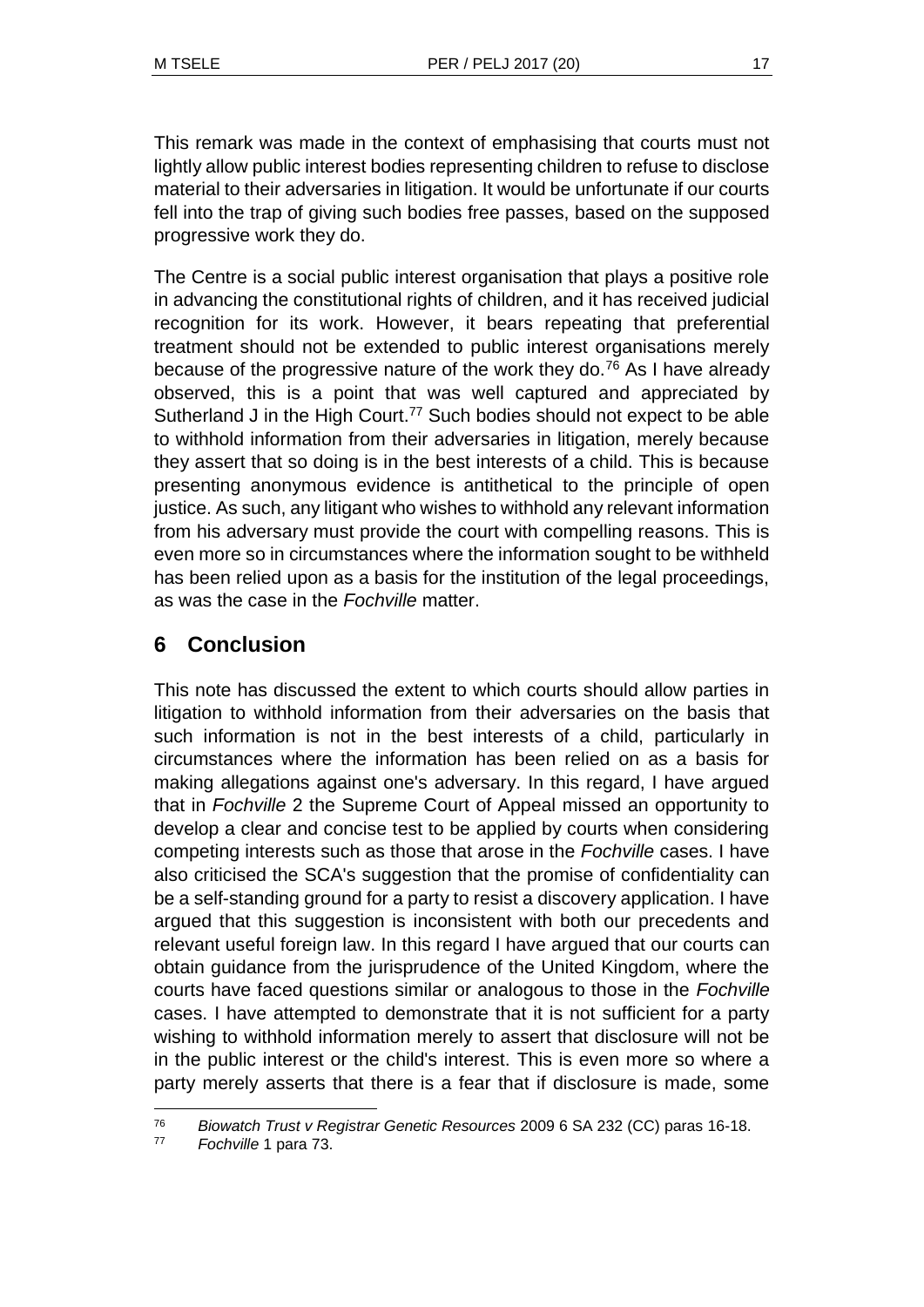This remark was made in the context of emphasising that courts must not lightly allow public interest bodies representing children to refuse to disclose material to their adversaries in litigation. It would be unfortunate if our courts fell into the trap of giving such bodies free passes, based on the supposed progressive work they do.

The Centre is a social public interest organisation that plays a positive role in advancing the constitutional rights of children, and it has received judicial recognition for its work. However, it bears repeating that preferential treatment should not be extended to public interest organisations merely because of the progressive nature of the work they do.<sup>76</sup> As I have already observed, this is a point that was well captured and appreciated by Sutherland J in the High Court.<sup>77</sup> Such bodies should not expect to be able to withhold information from their adversaries in litigation, merely because they assert that so doing is in the best interests of a child. This is because presenting anonymous evidence is antithetical to the principle of open justice. As such, any litigant who wishes to withhold any relevant information from his adversary must provide the court with compelling reasons. This is even more so in circumstances where the information sought to be withheld has been relied upon as a basis for the institution of the legal proceedings, as was the case in the *Fochville* matter.

# **6 Conclusion**

This note has discussed the extent to which courts should allow parties in litigation to withhold information from their adversaries on the basis that such information is not in the best interests of a child, particularly in circumstances where the information has been relied on as a basis for making allegations against one's adversary. In this regard, I have argued that in *Fochville* 2 the Supreme Court of Appeal missed an opportunity to develop a clear and concise test to be applied by courts when considering competing interests such as those that arose in the *Fochville* cases. I have also criticised the SCA's suggestion that the promise of confidentiality can be a self-standing ground for a party to resist a discovery application. I have argued that this suggestion is inconsistent with both our precedents and relevant useful foreign law. In this regard I have argued that our courts can obtain guidance from the jurisprudence of the United Kingdom, where the courts have faced questions similar or analogous to those in the *Fochville* cases. I have attempted to demonstrate that it is not sufficient for a party wishing to withhold information merely to assert that disclosure will not be in the public interest or the child's interest. This is even more so where a party merely asserts that there is a fear that if disclosure is made, some

<sup>76</sup> *Biowatch Trust v Registrar Genetic Resources* 2009 6 SA 232 (CC) paras 16-18.

<sup>77</sup> *Fochville* 1 para 73.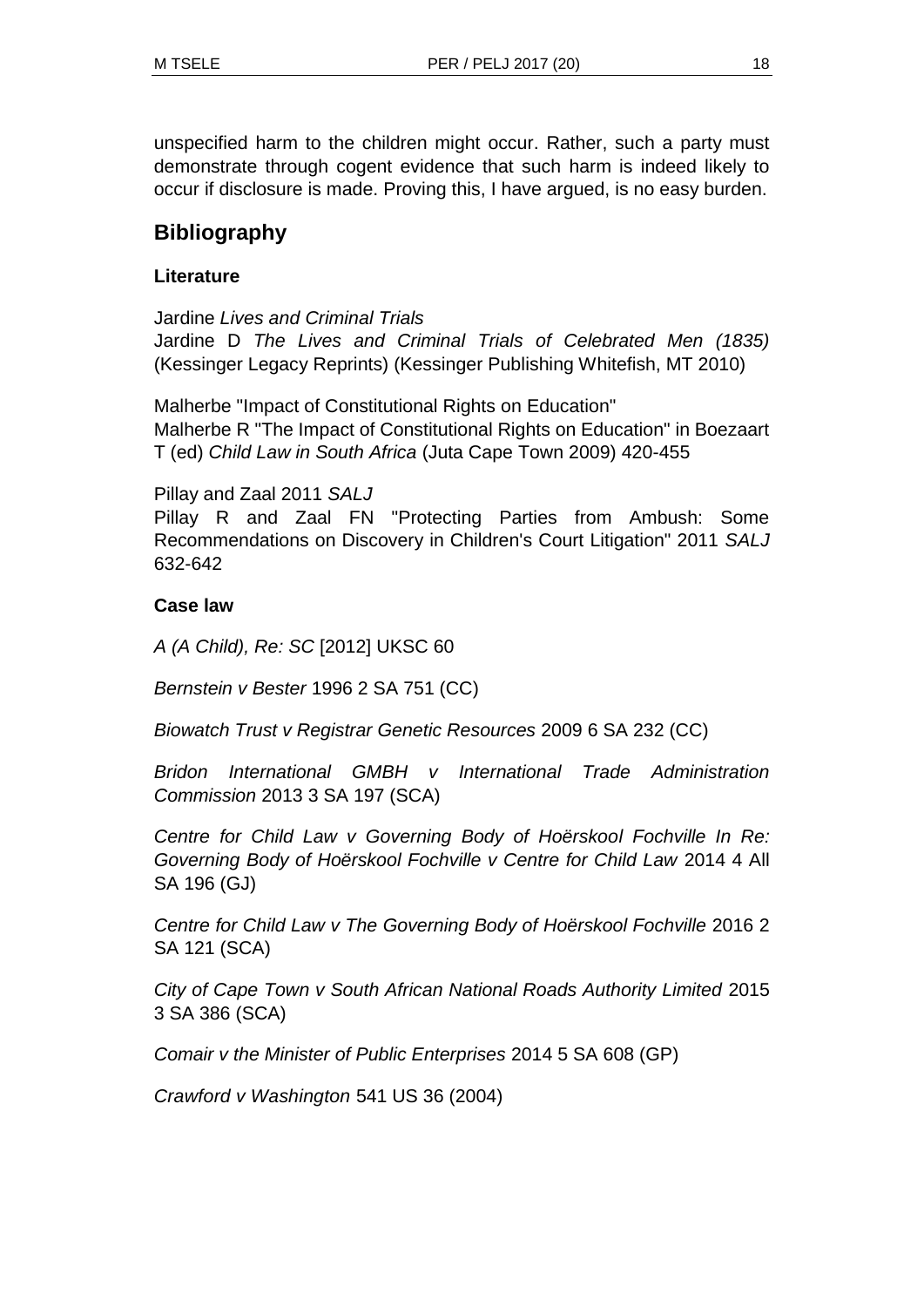unspecified harm to the children might occur. Rather, such a party must demonstrate through cogent evidence that such harm is indeed likely to occur if disclosure is made. Proving this, I have argued, is no easy burden.

## **Bibliography**

#### **Literature**

Jardine *Lives and Criminal Trials* Jardine D *The Lives and Criminal Trials of Celebrated Men (1835)* (Kessinger Legacy Reprints) (Kessinger Publishing Whitefish, MT 2010)

Malherbe "Impact of Constitutional Rights on Education" Malherbe R "The Impact of Constitutional Rights on Education" in Boezaart T (ed) *Child Law in South Africa* (Juta Cape Town 2009) 420-455

Pillay and Zaal 2011 *SALJ*

Pillay R and Zaal FN "Protecting Parties from Ambush: Some Recommendations on Discovery in Children's Court Litigation" 2011 *SALJ*  632-642

#### **Case law**

*A (A Child), Re: SC* [2012] UKSC 60

*Bernstein v Bester* 1996 2 SA 751 (CC)

*Biowatch Trust v Registrar Genetic Resources* 2009 6 SA 232 (CC)

*Bridon International GMBH v International Trade Administration Commission* 2013 3 SA 197 (SCA)

*Centre for Child Law v Governing Body of Hoërskool Fochville In Re: Governing Body of Hoërskool Fochville v Centre for Child Law* 2014 4 All SA 196 (GJ)

*Centre for Child Law v The Governing Body of Hoërskool Fochville* 2016 2 SA 121 (SCA)

*City of Cape Town v South African National Roads Authority Limited* 2015 3 SA 386 (SCA)

*Comair v the Minister of Public Enterprises* 2014 5 SA 608 (GP)

*Crawford v Washington* 541 US 36 (2004)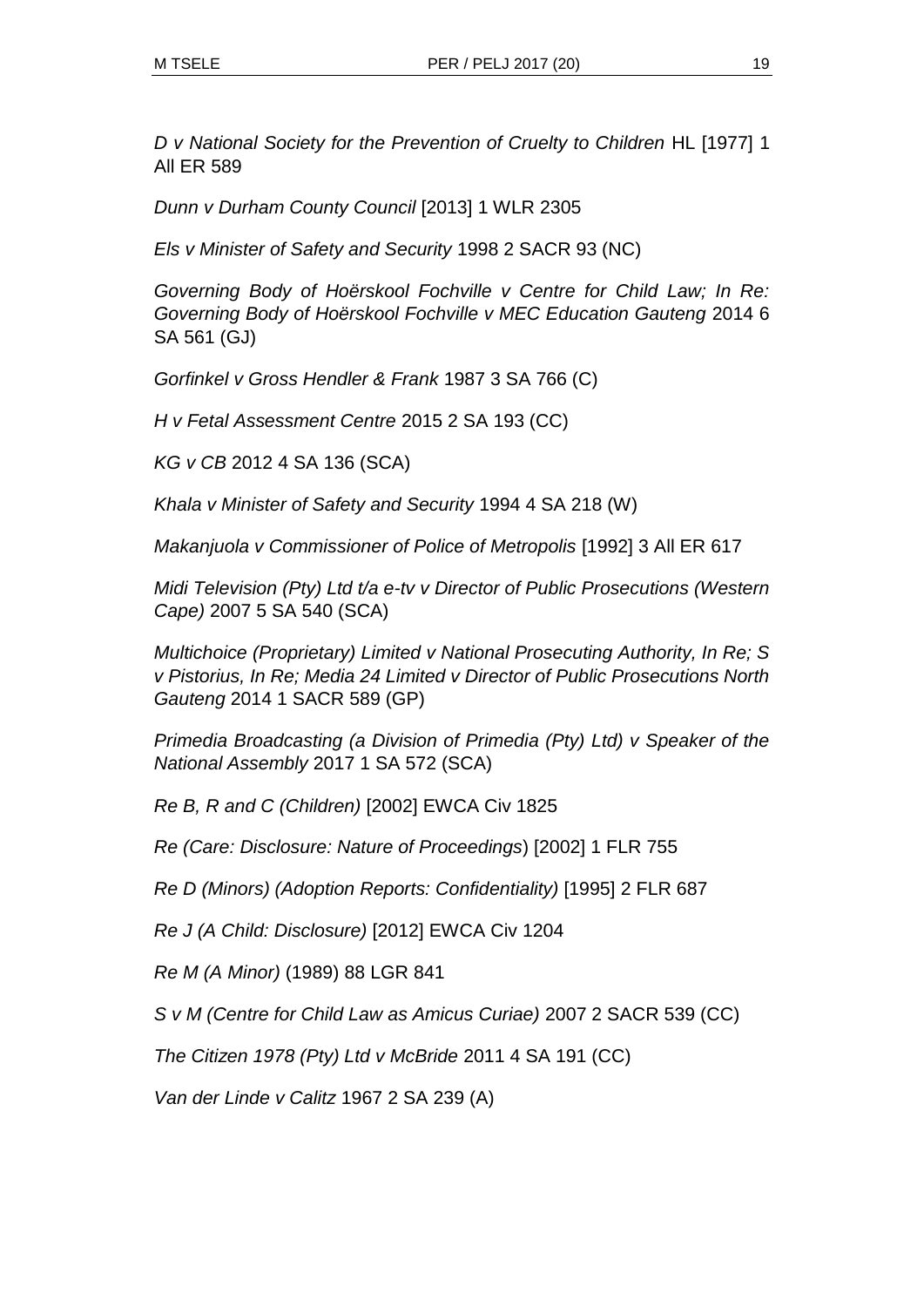*D v National Society for the Prevention of Cruelty to Children* HL [1977] 1 All ER 589

*Dunn v Durham County Council* [2013] 1 WLR 2305

*Els v Minister of Safety and Security* 1998 2 SACR 93 (NC)

*Governing Body of Hoërskool Fochville v Centre for Child Law; In Re: Governing Body of Hoërskool Fochville v MEC Education Gauteng* 2014 6 SA 561 (GJ)

*Gorfinkel v Gross Hendler & Frank* 1987 3 SA 766 (C)

*H v Fetal Assessment Centre* 2015 2 SA 193 (CC)

*KG v CB* 2012 4 SA 136 (SCA)

*Khala v Minister of Safety and Security* 1994 4 SA 218 (W)

*Makanjuola v Commissioner of Police of Metropolis* [1992] 3 All ER 617

*Midi Television (Pty) Ltd t/a e-tv v Director of Public Prosecutions (Western Cape)* 2007 5 SA 540 (SCA)

*Multichoice (Proprietary) Limited v National Prosecuting Authority, In Re; S v Pistorius, In Re; Media 24 Limited v Director of Public Prosecutions North Gauteng* 2014 1 SACR 589 (GP)

*Primedia Broadcasting (a Division of Primedia (Pty) Ltd) v Speaker of the National Assembly* 2017 1 SA 572 (SCA)

*Re B, R and C (Children)* [2002] EWCA Civ 1825

*Re (Care: Disclosure: Nature of Proceedings*) [2002] 1 FLR 755

*Re D (Minors) (Adoption Reports: Confidentiality)* [1995] 2 FLR 687

*Re J (A Child: Disclosure)* [2012] EWCA Civ 1204

*Re M (A Minor)* (1989) 88 LGR 841

*S v M (Centre for Child Law as Amicus Curiae)* 2007 2 SACR 539 (CC)

*The Citizen 1978 (Pty) Ltd v McBride* 2011 4 SA 191 (CC)

*Van der Linde v Calitz* 1967 2 SA 239 (A)